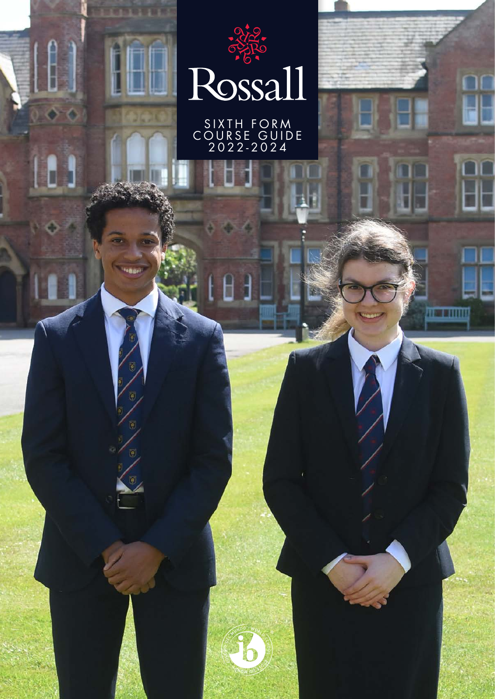

**STARBUR** 

**TERRIT** 

fa)

SIXTH FORM COURSE GUIDE 2022-2024

1

**Album an International Property**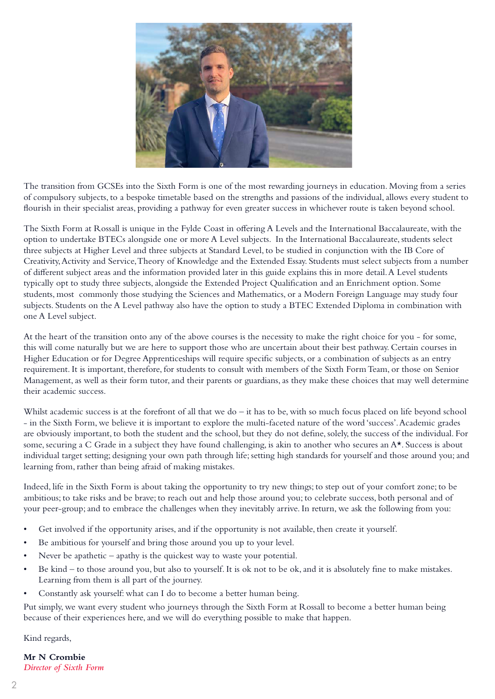

The transition from GCSEs into the Sixth Form is one of the most rewarding journeys in education. Moving from a series of compulsory subjects, to a bespoke timetable based on the strengths and passions of the individual, allows every student to flourish in their specialist areas, providing a pathway for even greater success in whichever route is taken beyond school.

The Sixth Form at Rossall is unique in the Fylde Coast in offering A Levels and the International Baccalaureate, with the option to undertake BTECs alongside one or more A Level subjects. In the International Baccalaureate, students select three subjects at Higher Level and three subjects at Standard Level, to be studied in conjunction with the IB Core of Creativity, Activity and Service, Theory of Knowledge and the Extended Essay. Students must select subjects from a number of different subject areas and the information provided later in this guide explains this in more detail. A Level students typically opt to study three subjects, alongside the Extended Project Qualification and an Enrichment option. Some students, most commonly those studying the Sciences and Mathematics, or a Modern Foreign Language may study four subjects. Students on the A Level pathway also have the option to study a BTEC Extended Diploma in combination with one A Level subject.

At the heart of the transition onto any of the above courses is the necessity to make the right choice for you - for some, this will come naturally but we are here to support those who are uncertain about their best pathway. Certain courses in Higher Education or for Degree Apprenticeships will require specific subjects, or a combination of subjects as an entry requirement. It is important, therefore, for students to consult with members of the Sixth Form Team, or those on Senior Management, as well as their form tutor, and their parents or guardians, as they make these choices that may well determine their academic success.

Whilst academic success is at the forefront of all that we do – it has to be, with so much focus placed on life beyond school - in the Sixth Form, we believe it is important to explore the multi-faceted nature of the word 'success'. Academic grades are obviously important, to both the student and the school, but they do not define, solely, the success of the individual. For some, securing a C Grade in a subject they have found challenging, is akin to another who secures an A<sup>\*</sup>. Success is about individual target setting; designing your own path through life; setting high standards for yourself and those around you; and learning from, rather than being afraid of making mistakes.

Indeed, life in the Sixth Form is about taking the opportunity to try new things; to step out of your comfort zone; to be ambitious; to take risks and be brave; to reach out and help those around you; to celebrate success, both personal and of your peer-group; and to embrace the challenges when they inevitably arrive. In return, we ask the following from you:

- Get involved if the opportunity arises, and if the opportunity is not available, then create it yourself.
- Be ambitious for yourself and bring those around you up to your level.
- Never be apathetic  $-$  apathy is the quickest way to waste your potential.
- Be kind to those around you, but also to yourself. It is ok not to be ok, and it is absolutely fine to make mistakes. Learning from them is all part of the journey.
- Constantly ask yourself: what can I do to become a better human being.

Put simply, we want every student who journeys through the Sixth Form at Rossall to become a better human being because of their experiences here, and we will do everything possible to make that happen.

Kind regards,

**Mr N Crombie** *Director of Sixth Form*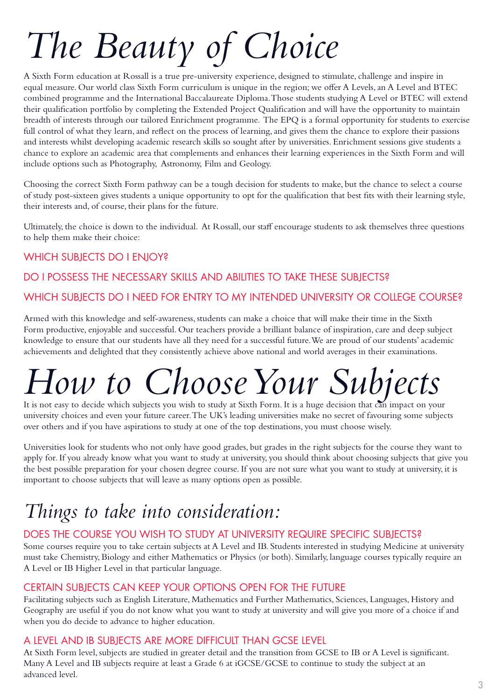## *The Beauty of Choice*

A Sixth Form education at Rossall is a true pre-university experience, designed to stimulate, challenge and inspire in equal measure. Our world class Sixth Form curriculum is unique in the region; we offer A Levels, an A Level and BTEC combined programme and the International Baccalaureate Diploma. Those students studying A Level or BTEC will extend their qualification portfolio by completing the Extended Project Qualification and will have the opportunity to maintain breadth of interests through our tailored Enrichment programme. The EPQ is a formal opportunity for students to exercise full control of what they learn, and reflect on the process of learning, and gives them the chance to explore their passions and interests whilst developing academic research skills so sought after by universities. Enrichment sessions give students a chance to explore an academic area that complements and enhances their learning experiences in the Sixth Form and will include options such as Photography, Astronomy, Film and Geology.

Choosing the correct Sixth Form pathway can be a tough decision for students to make, but the chance to select a course of study post-sixteen gives students a unique opportunity to opt for the qualification that best fits with their learning style, their interests and, of course, their plans for the future.

Ultimately, the choice is down to the individual. At Rossall, our staff encourage students to ask themselves three questions to help them make their choice:

### WHICH SUBJECTS DO I ENJOY?

### DO I POSSESS THE NECESSARY SKILLS AND ABILITIES TO TAKE THESE SUBJECTS?

WHICH SUBJECTS DO I NEED FOR ENTRY TO MY INTENDED UNIVERSITY OR COLLEGE COURSE?

Armed with this knowledge and self-awareness, students can make a choice that will make their time in the Sixth Form productive, enjoyable and successful. Our teachers provide a brilliant balance of inspiration, care and deep subject knowledge to ensure that our students have all they need for a successful future. We are proud of our students' academic achievements and delighted that they consistently achieve above national and world averages in their examinations.

## *How to Choose Your Subjects*

It is not easy to decide which subjects you wish to study at Sixth Form. It is a huge decision that can impact on your university choices and even your future career. The UK's leading universities make no secret of favouring some subjects over others and if you have aspirations to study at one of the top destinations, you must choose wisely.

Universities look for students who not only have good grades, but grades in the right subjects for the course they want to apply for. If you already know what you want to study at university, you should think about choosing subjects that give you the best possible preparation for your chosen degree course. If you are not sure what you want to study at university, it is important to choose subjects that will leave as many options open as possible.

### *Things to take into consideration:*

### DOES THE COURSE YOU WISH TO STUDY AT UNIVERSITY REQUIRE SPECIFIC SUBJECTS?

Some courses require you to take certain subjects at A Level and IB. Students interested in studying Medicine at university must take Chemistry, Biology and either Mathematics or Physics (or both). Similarly, language courses typically require an A Level or IB Higher Level in that particular language.

### CERTAIN SUBJECTS CAN KEEP YOUR OPTIONS OPEN FOR THE FUTURE

Facilitating subjects such as English Literature, Mathematics and Further Mathematics, Sciences, Languages, History and Geography are useful if you do not know what you want to study at university and will give you more of a choice if and when you do decide to advance to higher education.

### A LEVEL AND IB SUBJECTS ARE MORE DIFFICULT THAN GCSE LEVEL

At Sixth Form level, subjects are studied in greater detail and the transition from GCSE to IB or A Level is significant. Many A Level and IB subjects require at least a Grade 6 at iGCSE/GCSE to continue to study the subject at an advanced level.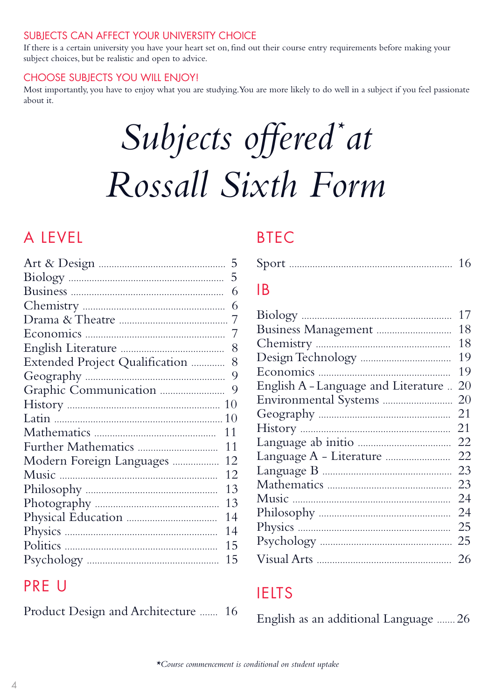### SUBJECTS CAN AFFECT YOUR UNIVERSITY CHOICE

If there is a certain university you have your heart set on, find out their course entry requirements before making your subject choices, but be realistic and open to advice.

### CHOOSE SUBJECTS YOU WILL ENJOY!

Most importantly, you have to enjoy what you are studying. You are more likely to do well in a subject if you feel passionate about it.

## Subjects offered\*at *Rossall Sixth Form*

### A LEVEL

|                                | 5  |
|--------------------------------|----|
|                                | 5  |
|                                | 6  |
|                                | 6  |
|                                | 7  |
|                                | 7  |
|                                | 8  |
| Extended Project Qualification | 8  |
|                                | 9  |
|                                | 9  |
|                                | 10 |
|                                | 10 |
|                                | 11 |
|                                | 11 |
| Modern Foreign Languages       | 12 |
|                                | 12 |
|                                | 13 |
|                                | 13 |
|                                | 14 |
|                                | 14 |
|                                | 15 |
|                                | 15 |
|                                |    |

### PRE U

Product Design and Architecture ....... 16

### BTEC

|--|--|

### IB

|                                     | 17 |
|-------------------------------------|----|
|                                     | 18 |
|                                     | 18 |
|                                     | 19 |
|                                     | 19 |
| English A - Language and Literature | 20 |
|                                     | 20 |
|                                     | 21 |
|                                     | 21 |
|                                     | 22 |
|                                     | 22 |
|                                     | 23 |
|                                     | 23 |
|                                     | 24 |
|                                     | 24 |
|                                     | 25 |
|                                     | 25 |
|                                     | 26 |

### IELTS

English as an additional Language ....... 26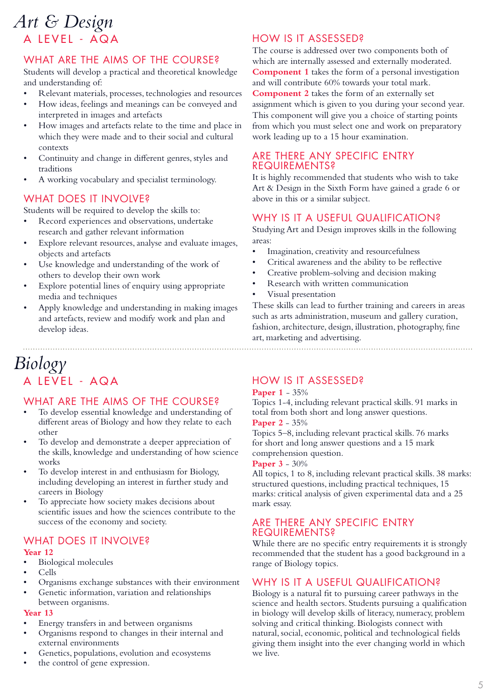### A LEVEL - AQA *Art & Design*

### WHAT ARE THE AIMS OF THE COURSE?

Students will develop a practical and theoretical knowledge and understanding of:

- Relevant materials, processes, technologies and resources
- How ideas, feelings and meanings can be conveyed and interpreted in images and artefacts
- How images and artefacts relate to the time and place in which they were made and to their social and cultural contexts
- Continuity and change in different genres, styles and traditions
- A working vocabulary and specialist terminology.

### WHAT DOES IT INVOLVE?

Students will be required to develop the skills to:

- Record experiences and observations, undertake research and gather relevant information
- Explore relevant resources, analyse and evaluate images, objects and artefacts
- Use knowledge and understanding of the work of others to develop their own work
- Explore potential lines of enquiry using appropriate media and techniques
- Apply knowledge and understanding in making images and artefacts, review and modify work and plan and develop ideas.

### HOW IS IT ASSESSED?

The course is addressed over two components both of which are internally assessed and externally moderated. **Component 1** takes the form of a personal investigation and will contribute 60% towards your total mark. **Component 2** takes the form of an externally set assignment which is given to you during your second year.

This component will give you a choice of starting points from which you must select one and work on preparatory work leading up to a 15 hour examination.

### ARE THERE ANY SPECIFIC ENTRY REQUIREMENTS?

It is highly recommended that students who wish to take Art & Design in the Sixth Form have gained a grade 6 or above in this or a similar subject.

### WHY IS IT A USEFUL QUALIFICATION?

Studying Art and Design improves skills in the following areas:

- Imagination, creativity and resourcefulness
- Critical awareness and the ability to be reflective
- Creative problem-solving and decision making
- Research with written communication
- Visual presentation

These skills can lead to further training and careers in areas such as arts administration, museum and gallery curation, fashion, architecture, design, illustration, photography, fine art, marketing and advertising.

### A LEVEL - AQA *Biology*

### WHAT ARE THE AIMS OF THE COURSE?

- To develop essential knowledge and understanding of different areas of Biology and how they relate to each other
- To develop and demonstrate a deeper appreciation of the skills, knowledge and understanding of how science works
- To develop interest in and enthusiasm for Biology, including developing an interest in further study and careers in Biology
- To appreciate how society makes decisions about scientific issues and how the sciences contribute to the success of the economy and society.

### WHAT DOES IT INVOLVE?

### **Year 12**

- Biological molecules
- Cells
- Organisms exchange substances with their environment
- Genetic information, variation and relationships between organisms.

#### **Year 13**

- Energy transfers in and between organisms
- Organisms respond to changes in their internal and external environments
- Genetics, populations, evolution and ecosystems
- the control of gene expression.

### HOW IS IT ASSESSED?

#### **Paper 1** - 35%

Topics 1-4, including relevant practical skills. 91 marks in total from both short and long answer questions. **Paper 2** - 35%

Topics 5–8, including relevant practical skills. 76 marks for short and long answer questions and a 15 mark comprehension question.

### **Paper 3** - 30%

All topics, 1 to 8, including relevant practical skills. 38 marks: structured questions, including practical techniques, 15 marks: critical analysis of given experimental data and a 25 mark essay.

### ARE THERE ANY SPECIFIC ENTRY REQUIREMENTS?

While there are no specific entry requirements it is strongly recommended that the student has a good background in a range of Biology topics.

### WHY IS IT A USEFUL QUALIFICATION?

Biology is a natural fit to pursuing career pathways in the science and health sectors. Students pursuing a qualification in biology will develop skills of literacy, numeracy, problem solving and critical thinking. Biologists connect with natural, social, economic, political and technological fields giving them insight into the ever changing world in which we live.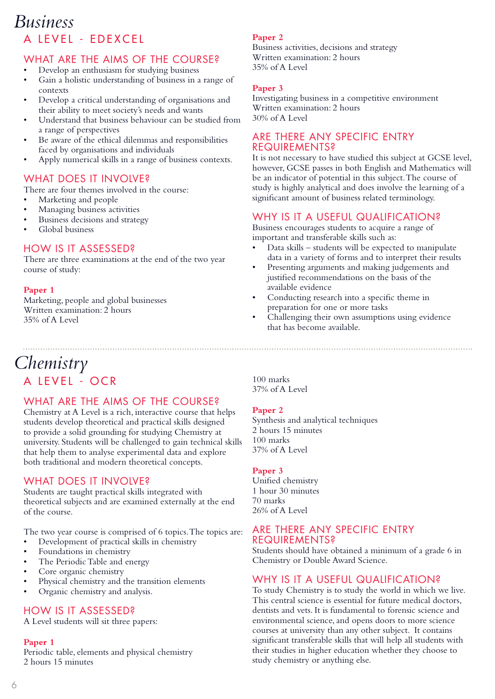### A LEVEL - EDEXCEL *Business*

### WHAT ARE THE AIMS OF THE COURSE?

- Develop an enthusiasm for studying business
- Gain a holistic understanding of business in a range of contexts
- Develop a critical understanding of organisations and their ability to meet society's needs and wants
- Understand that business behaviour can be studied from a range of perspectives
- Be aware of the ethical dilemmas and responsibilities faced by organisations and individuals
- Apply numerical skills in a range of business contexts.

### WHAT DOES IT INVOLVE?

There are four themes involved in the course:

- Marketing and people
- Managing business activities
- Business decisions and strategy
- Global business

### HOW IS IT ASSESSED?

There are three examinations at the end of the two year course of study:

#### **Paper 1**

Marketing, people and global businesses Written examination: 2 hours 35% of A Level

### **Paper 2**

Business activities, decisions and strategy Written examination: 2 hours 35% of A Level

#### **Paper 3**

Investigating business in a competitive environment Written examination: 2 hours 30% of A Level

### ARE THERE ANY SPECIFIC ENTRY REQUIREMENTS?

It is not necessary to have studied this subject at GCSE level, however, GCSE passes in both English and Mathematics will be an indicator of potential in this subject. The course of study is highly analytical and does involve the learning of a significant amount of business related terminology.

### WHY IS IT A USEFUL QUALIFICATION?

Business encourages students to acquire a range of important and transferable skills such as:

- Data skills students will be expected to manipulate data in a variety of forms and to interpret their results
- Presenting arguments and making judgements and justified recommendations on the basis of the available evidence
- Conducting research into a specific theme in preparation for one or more tasks
- Challenging their own assumptions using evidence that has become available.

### A LEVEL - OCR *Chemistry*

### WHAT ARE THE AIMS OF THE COURSE?

Chemistry at A Level is a rich, interactive course that helps students develop theoretical and practical skills designed to provide a solid grounding for studying Chemistry at university. Students will be challenged to gain technical skills that help them to analyse experimental data and explore both traditional and modern theoretical concepts.

### WHAT DOES IT INVOLVE?

Students are taught practical skills integrated with theoretical subjects and are examined externally at the end of the course.

The two year course is comprised of 6 topics. The topics are:

- Development of practical skills in chemistry
- Foundations in chemistry
- The Periodic Table and energy
- Core organic chemistry
- Physical chemistry and the transition elements
- Organic chemistry and analysis.

### HOW IS IT ASSESSED?

A Level students will sit three papers:

#### **Paper 1**

Periodic table, elements and physical chemistry 2 hours 15 minutes

100 marks 37% of A Level

#### **Paper 2**

Synthesis and analytical techniques 2 hours 15 minutes 100 marks 37% of A Level

### **Paper 3**

Unified chemistry 1 hour 30 minutes 70 marks 26% of A Level

### ARE THERE ANY SPECIFIC ENTRY REQUIREMENTS?

Students should have obtained a minimum of a grade 6 in Chemistry or Double Award Science.

### WHY IS IT A USEFUL QUALIFICATION?

To study Chemistry is to study the world in which we live. This central science is essential for future medical doctors, dentists and vets. It is fundamental to forensic science and environmental science, and opens doors to more science courses at university than any other subject. It contains significant transferable skills that will help all students with their studies in higher education whether they choose to study chemistry or anything else.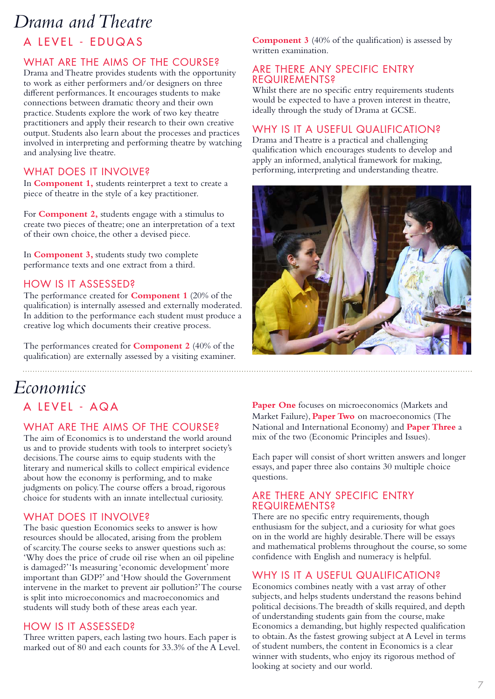### *Drama and Theatre*

### A LEVEL - EDUQAS

### WHAT ARE THE AIMS OF THE COURSE?

Drama and Theatre provides students with the opportunity to work as either performers and/or designers on three different performances. It encourages students to make connections between dramatic theory and their own practice. Students explore the work of two key theatre practitioners and apply their research to their own creative output. Students also learn about the processes and practices involved in interpreting and performing theatre by watching and analysing live theatre.

### WHAT DOES IT INVOLVE?

In **Component 1,** students reinterpret a text to create a piece of theatre in the style of a key practitioner.

For **Component 2,** students engage with a stimulus to create two pieces of theatre; one an interpretation of a text of their own choice, the other a devised piece.

In **Component 3,** students study two complete performance texts and one extract from a third.

### HOW IS IT ASSESSED?

The performance created for **Component 1** (20% of the qualification) is internally assessed and externally moderated. In addition to the performance each student must produce a creative log which documents their creative process.

The performances created for **Component 2** (40% of the qualification) are externally assessed by a visiting examiner. **Component 3** (40% of the qualification) is assessed by written examination.

### ARE THERE ANY SPECIFIC ENTRY REQUIREMENTS?

Whilst there are no specific entry requirements students would be expected to have a proven interest in theatre, ideally through the study of Drama at GCSE.

### WHY IS IT A USEFUL QUALIFICATION?

Drama and Theatre is a practical and challenging qualification which encourages students to develop and apply an informed, analytical framework for making, performing, interpreting and understanding theatre.



### A LEVEL - AQA *Economics*

### WHAT ARE THE AIMS OF THE COURSE?

The aim of Economics is to understand the world around us and to provide students with tools to interpret society's decisions. The course aims to equip students with the literary and numerical skills to collect empirical evidence about how the economy is performing, and to make judgments on policy. The course offers a broad, rigorous choice for students with an innate intellectual curiosity.

### WHAT DOES IT INVOLVE?

The basic question Economics seeks to answer is how resources should be allocated, arising from the problem of scarcity. The course seeks to answer questions such as: 'Why does the price of crude oil rise when an oil pipeline is damaged?' 'Is measuring 'economic development' more important than GDP?' and 'How should the Government intervene in the market to prevent air pollution?' The course is split into microeconomics and macroeconomics and students will study both of these areas each year.

### HOW IS IT ASSESSED?

Three written papers, each lasting two hours. Each paper is marked out of 80 and each counts for 33.3% of the A Level. Paper One focuses on microeconomics (Markets and Market Failure), **Paper Two** on macroeconomics (The National and International Economy) and **Paper Three** a mix of the two (Economic Principles and Issues).

Each paper will consist of short written answers and longer essays, and paper three also contains 30 multiple choice questions.

### ARE THERE ANY SPECIFIC ENTRY REQUIREMENTS?

There are no specific entry requirements, though enthusiasm for the subject, and a curiosity for what goes on in the world are highly desirable. There will be essays and mathematical problems throughout the course, so some confidence with English and numeracy is helpful.

### WHY IS IT A USEFUL QUALIFICATION?

Economics combines neatly with a vast array of other subjects, and helps students understand the reasons behind political decisions. The breadth of skills required, and depth of understanding students gain from the course, make Economics a demanding, but highly respected qualification to obtain. As the fastest growing subject at A Level in terms of student numbers, the content in Economics is a clear winner with students, who enjoy its rigorous method of looking at society and our world.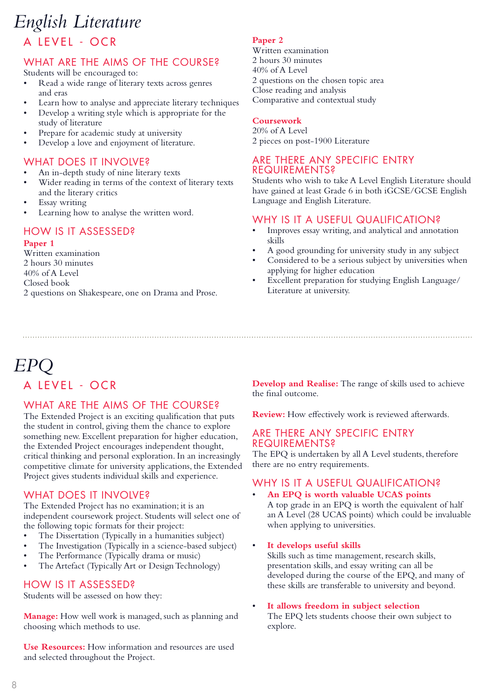### A LEVEL - OCR *English Literature*

### WHAT ARE THE AIMS OF THE COURSE?

Students will be encouraged to:

- Read a wide range of literary texts across genres and eras
- Learn how to analyse and appreciate literary techniques
- Develop a writing style which is appropriate for the study of literature
- Prepare for academic study at university
- Develop a love and enjoyment of literature.

### WHAT DOES IT INVOLVE?

- An in-depth study of nine literary texts
- Wider reading in terms of the context of literary texts and the literary critics
- **Essay** writing
- Learning how to analyse the written word.

### HOW IS IT ASSESSED?

#### **Paper 1**

Written examination 2 hours 30 minutes 40% of A Level Closed book 2 questions on Shakespeare, one on Drama and Prose.

#### **Paper 2**

Written examination 2 hours 30 minutes 40% of A Level 2 questions on the chosen topic area Close reading and analysis Comparative and contextual study

### **Coursework**

20% of A Level 2 pieces on post-1900 Literature

### ARE THERE ANY SPECIFIC ENTRY REQUIREMENTS?

Students who wish to take A Level English Literature should have gained at least Grade 6 in both iGCSE/GCSE English Language and English Literature.

### WHY IS IT A USEFUL QUALIFICATION?

- Improves essay writing, and analytical and annotation skills
- A good grounding for university study in any subject
- Considered to be a serious subject by universities when applying for higher education
- Excellent preparation for studying English Language/ Literature at university.

### A LEVEL - OCR *EPQ*

### WHAT ARE THE AIMS OF THE COURSE?

The Extended Project is an exciting qualification that puts the student in control, giving them the chance to explore something new. Excellent preparation for higher education, the Extended Project encourages independent thought, critical thinking and personal exploration. In an increasingly competitive climate for university applications, the Extended Project gives students individual skills and experience.

### WHAT DOES IT INVOLVE?

The Extended Project has no examination; it is an independent coursework project. Students will select one of the following topic formats for their project:

- The Dissertation (Typically in a humanities subject)
- The Investigation (Typically in a science-based subject)
- The Performance (Typically drama or music)
- The Artefact (Typically Art or Design Technology)

### HOW IS IT ASSESSED?

Students will be assessed on how they:

**Manage:** How well work is managed, such as planning and choosing which methods to use.

**Use Resources:** How information and resources are used and selected throughout the Project.

**Develop and Realise:** The range of skills used to achieve the final outcome.

**Review:** How effectively work is reviewed afterwards.

### ARE THERE ANY SPECIFIC ENTRY REQUIREMENTS?

The EPQ is undertaken by all A Level students, therefore there are no entry requirements.

### WHY IS IT A USEFUL QUALIFICATION?

- **An EPQ is worth valuable UCAS points** A top grade in an EPQ is worth the equivalent of half an A Level (28 UCAS points) which could be invaluable when applying to universities.
- **It develops useful skills**

Skills such as time management, research skills, presentation skills, and essay writing can all be developed during the course of the EPQ, and many of these skills are transferable to university and beyond.

• **It allows freedom in subject selection** The EPQ lets students choose their own subject to explore.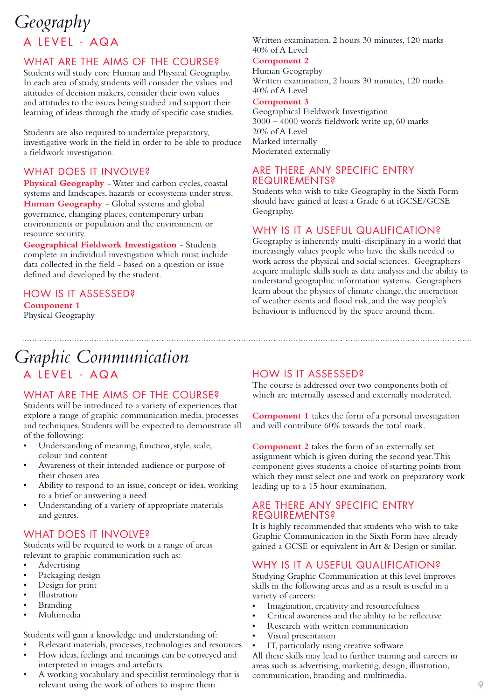### A LEVEL - AQA *Geography*

### WHAT ARE THE AIMS OF THE COURSE?

Students will study core Human and Physical Geography. In each area of study, students will consider the values and attitudes of decision makers, consider their own values and attitudes to the issues being studied and support their learning of ideas through the study of specific case studies.

Students are also required to undertake preparatory, investigative work in the field in order to be able to produce a fieldwork investigation.

### WHAT DOES IT INVOLVE?

**Physical Geography** - Water and carbon cycles, coastal systems and landscapes, hazards or ecosystems under stress. **Human Geography** - Global systems and global governance, changing places, contemporary urban environments or population and the environment or resource security.

**Geographical Fieldwork Investigation** - Students complete an individual investigation which must include data collected in the field - based on a question or issue defined and developed by the student.

### HOW IS IT ASSESSED?

**Component 1** Physical Geography

### A LEVEL - AQA *Graphic Communication*

### WHAT ARE THE AIMS OF THE COURSE?

Students will be introduced to a variety of experiences that explore a range of graphic communication media, processes and techniques. Students will be expected to demonstrate all of the following:

- Understanding of meaning, function, style, scale, colour and content
- Awareness of their intended audience or purpose of their chosen area
- Ability to respond to an issue, concept or idea, working to a brief or answering a need
- Understanding of a variety of appropriate materials and genres.

### WHAT DOES IT INVOLVE?

Students will be required to work in a range of areas relevant to graphic communication such as:

- Advertising
- Packaging design
- Design for print
- **Illustration**
- **Branding**
- Multimedia

Students will gain a knowledge and understanding of:

- Relevant materials, processes, technologies and resources
- How ideas, feelings and meanings can be conveyed and interpreted in images and artefacts
- A working vocabulary and specialist terminology that is relevant using the work of others to inspire them

#### Written examination, 2 hours 30 minutes, 120 marks 40% of A Level

#### **Component 2**

Human Geography Written examination, 2 hours 30 minutes, 120 marks 40% of A Level

#### **Component 3**

Geographical Fieldwork Investigation 3000 – 4000 words fieldwork write up, 60 marks 20% of A Level Marked internally Moderated externally

### ARE THERE ANY SPECIFIC ENTRY REQUIREMENTS?

Students who wish to take Geography in the Sixth Form should have gained at least a Grade 6 at iGCSE/GCSE Geography.

### WHY IS IT A USEFUL QUALIFICATION?

Geography is inherently multi-disciplinary in a world that increasingly values people who have the skills needed to work across the physical and social sciences. Geographers acquire multiple skills such as data analysis and the ability to understand geographic information systems. Geographers learn about the physics of climate change, the interaction of weather events and flood risk, and the way people's behaviour is influenced by the space around them.

### HOW IS IT ASSESSED?

The course is addressed over two components both of which are internally assessed and externally moderated.

**Component 1** takes the form of a personal investigation and will contribute 60% towards the total mark.

**Component 2** takes the form of an externally set assignment which is given during the second year. This component gives students a choice of starting points from which they must select one and work on preparatory work leading up to a 15 hour examination.

### ARE THERE ANY SPECIFIC ENTRY REQUIREMENTS?

It is highly recommended that students who wish to take Graphic Communication in the Sixth Form have already gained a GCSE or equivalent in Art & Design or similar.

### WHY IS IT A USEFUL QUALIFICATION?

Studying Graphic Communication at this level improves skills in the following areas and as a result is useful in a variety of careers:

- Imagination, creativity and resourcefulness
- Critical awareness and the ability to be reflective
- Research with written communication
- Visual presentation
- IT, particularly using creative software

All these skills may lead to further training and careers in areas such as advertising, marketing, design, illustration, communication, branding and multimedia.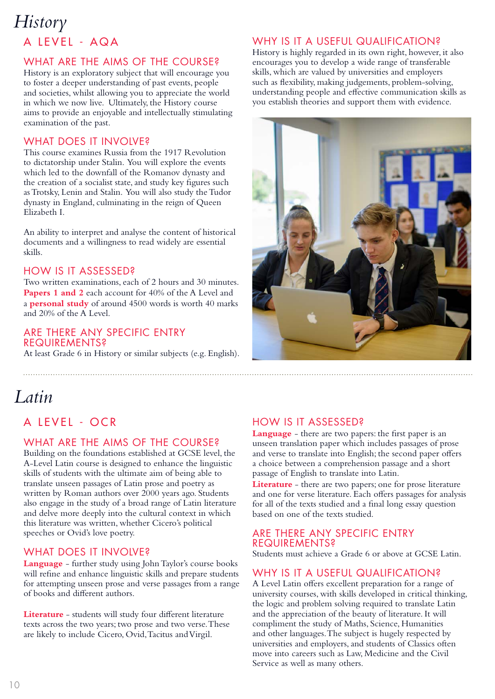### A LEVEL - AQA *History*

### WHAT ARE THE AIMS OF THE COURSE?

History is an exploratory subject that will encourage you to foster a deeper understanding of past events, people and societies, whilst allowing you to appreciate the world in which we now live. Ultimately, the History course aims to provide an enjoyable and intellectually stimulating examination of the past.

### WHAT DOES IT INVOLVE?

This course examines Russia from the 1917 Revolution to dictatorship under Stalin. You will explore the events which led to the downfall of the Romanov dynasty and the creation of a socialist state, and study key figures such as Trotsky, Lenin and Stalin. You will also study the Tudor dynasty in England, culminating in the reign of Queen Elizabeth I.

An ability to interpret and analyse the content of historical documents and a willingness to read widely are essential skills.

### HOW IS IT ASSESSED?

Two written examinations, each of 2 hours and 30 minutes. **Papers 1 and 2** each account for 40% of the A Level and a **personal study** of around 4500 words is worth 40 marks and 20% of the A Level.

### ARE THERE ANY SPECIFIC ENTRY REQUIREMENTS?

At least Grade 6 in History or similar subjects (e.g. English).

### WHY IS IT A USEFUL QUALIFICATION?

History is highly regarded in its own right, however, it also encourages you to develop a wide range of transferable skills, which are valued by universities and employers such as flexibility, making judgements, problem-solving, understanding people and effective communication skills as you establish theories and support them with evidence.



### *Latin*

### A LEVEL - OCR

### WHAT ARE THE AIMS OF THE COURSE?

Building on the foundations established at GCSE level, the A-Level Latin course is designed to enhance the linguistic skills of students with the ultimate aim of being able to translate unseen passages of Latin prose and poetry as written by Roman authors over 2000 years ago. Students also engage in the study of a broad range of Latin literature and delve more deeply into the cultural context in which this literature was written, whether Cicero's political speeches or Ovid's love poetry.

### WHAT DOES IT INVOLVE?

**Language** - further study using John Taylor's course books will refine and enhance linguistic skills and prepare students for attempting unseen prose and verse passages from a range of books and different authors.

**Literature** - students will study four different literature texts across the two years; two prose and two verse. These are likely to include Cicero, Ovid, Tacitus and Virgil.

### HOW IS IT ASSESSED?

**Language** - there are two papers: the first paper is an unseen translation paper which includes passages of prose and verse to translate into English; the second paper offers a choice between a comprehension passage and a short passage of English to translate into Latin.

**Literature** - there are two papers; one for prose literature and one for verse literature. Each offers passages for analysis for all of the texts studied and a final long essay question based on one of the texts studied.

### ARE THERE ANY SPECIFIC ENTRY REQUIREMENTS?

Students must achieve a Grade 6 or above at GCSE Latin.

### WHY IS IT A USEFUL QUALIFICATION?

A Level Latin offers excellent preparation for a range of university courses, with skills developed in critical thinking, the logic and problem solving required to translate Latin and the appreciation of the beauty of literature. It will compliment the study of Maths, Science, Humanities and other languages. The subject is hugely respected by universities and employers, and students of Classics often move into careers such as Law, Medicine and the Civil Service as well as many others.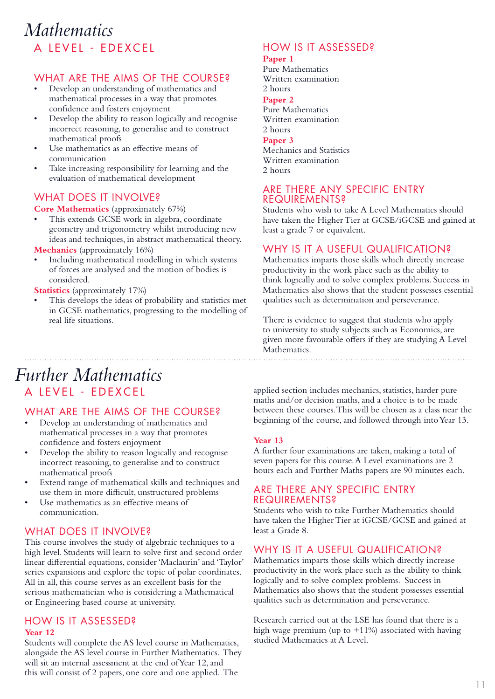### A LEVEL - EDEXCEL *Mathematics*

### WHAT ARE THE AIMS OF THE COURSE?

- Develop an understanding of mathematics and mathematical processes in a way that promotes confidence and fosters enjoyment
- Develop the ability to reason logically and recognise incorrect reasoning, to generalise and to construct mathematical proofs
- Use mathematics as an effective means of communication
- Take increasing responsibility for learning and the evaluation of mathematical development

### WHAT DOES IT INVOLVE?

### **Core Mathematics** (approximately 67%)

- This extends GCSE work in algebra, coordinate geometry and trigonometry whilst introducing new ideas and techniques, in abstract mathematical theory.
- **Mechanics** (approximately 16%)
- Including mathematical modelling in which systems of forces are analysed and the motion of bodies is considered.

#### **Statistics** (approximately 17%)

This develops the ideas of probability and statistics met in GCSE mathematics, progressing to the modelling of real life situations.

### HOW IS IT ASSESSED?

#### **Paper 1**

Pure Mathematics Written examination 2 hours **Paper 2** Pure Mathematics Written examination 2 hours **Paper 3** Mechanics and Statistics Written examination 2 hours

### ARE THERE ANY SPECIFIC ENTRY **REQUIREMENTS?**

Students who wish to take A Level Mathematics should have taken the Higher Tier at GCSE/iGCSE and gained at least a grade 7 or equivalent.

### WHY IS IT A USEFUL QUALIFICATION?

Mathematics imparts those skills which directly increase productivity in the work place such as the ability to think logically and to solve complex problems. Success in Mathematics also shows that the student possesses essential qualities such as determination and perseverance.

There is evidence to suggest that students who apply to university to study subjects such as Economics, are given more favourable offers if they are studying A Level Mathematics.

### A LEVEL - EDEXCEL *Further Mathematics*

### WHAT ARE THE AIMS OF THE COURSE?

- Develop an understanding of mathematics and mathematical processes in a way that promotes confidence and fosters enjoyment
- Develop the ability to reason logically and recognise incorrect reasoning, to generalise and to construct mathematical proofs
- Extend range of mathematical skills and techniques and use them in more difficult, unstructured problems
- Use mathematics as an effective means of communication.

### WHAT DOES IT INVOLVE?

This course involves the study of algebraic techniques to a high level. Students will learn to solve first and second order linear differential equations, consider 'Maclaurin' and 'Taylor' series expansions and explore the topic of polar coordinates. All in all, this course serves as an excellent basis for the serious mathematician who is considering a Mathematical or Engineering based course at university.

### HOW IS IT ASSESSED?

#### **Year 12**

Students will complete the AS level course in Mathematics, alongside the AS level course in Further Mathematics. They will sit an internal assessment at the end of Year 12, and this will consist of 2 papers, one core and one applied. The

applied section includes mechanics, statistics, harder pure maths and/or decision maths, and a choice is to be made between these courses. This will be chosen as a class near the beginning of the course, and followed through into Year 13.

### **Year 13**

A further four examinations are taken, making a total of seven papers for this course. A Level examinations are 2 hours each and Further Maths papers are 90 minutes each.

### ARE THERE ANY SPECIFIC ENTRY REQUIREMENTS?

Students who wish to take Further Mathematics should have taken the Higher Tier at iGCSE/GCSE and gained at least a Grade 8.

### WHY IS IT A USEFUL QUALIFICATION?

Mathematics imparts those skills which directly increase productivity in the work place such as the ability to think logically and to solve complex problems. Success in Mathematics also shows that the student possesses essential qualities such as determination and perseverance.

Research carried out at the LSE has found that there is a high wage premium (up to +11%) associated with having studied Mathematics at A Level.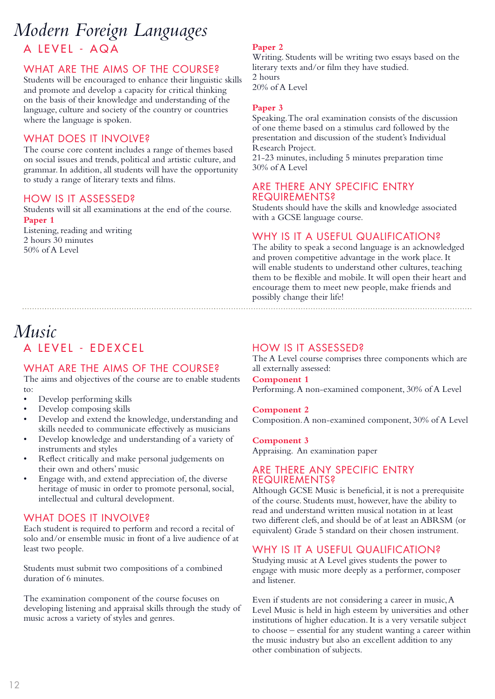### A LEVEL - AQA *Modern Foreign Languages*

### WHAT ARE THE AIMS OF THE COURSE?

Students will be encouraged to enhance their linguistic skills and promote and develop a capacity for critical thinking on the basis of their knowledge and understanding of the language, culture and society of the country or countries where the language is spoken.

### WHAT DOES IT INVOLVE?

The course core content includes a range of themes based on social issues and trends, political and artistic culture, and grammar. In addition, all students will have the opportunity to study a range of literary texts and films.

### HOW IS IT ASSESSED?

Students will sit all examinations at the end of the course. **Paper 1**

Listening, reading and writing 2 hours 30 minutes 50% of A Level

### A LEVEL - EDEXCEL *Music*

### WHAT ARE THE AIMS OF THE COURSE?

The aims and objectives of the course are to enable students to:

- Develop performing skills
- Develop composing skills
- Develop and extend the knowledge, understanding and skills needed to communicate effectively as musicians
- Develop knowledge and understanding of a variety of instruments and styles
- Reflect critically and make personal judgements on their own and others' music
- Engage with, and extend appreciation of, the diverse heritage of music in order to promote personal, social, intellectual and cultural development.

### WHAT DOES IT INVOLVE?

Each student is required to perform and record a recital of solo and/or ensemble music in front of a live audience of at least two people.

Students must submit two compositions of a combined duration of 6 minutes.

The examination component of the course focuses on developing listening and appraisal skills through the study of music across a variety of styles and genres.

#### **Paper 2**

Writing. Students will be writing two essays based on the literary texts and/or film they have studied. 2 hours

20% of A Level

#### **Paper 3**

Speaking. The oral examination consists of the discussion of one theme based on a stimulus card followed by the presentation and discussion of the student's Individual Research Project.

21-23 minutes, including 5 minutes preparation time 30% of A Level

#### ARE THERE ANY SPECIFIC ENTRY REQUIREMENTS?

Students should have the skills and knowledge associated with a GCSE language course.

### WHY IS IT A USEFUL QUALIFICATION?

The ability to speak a second language is an acknowledged and proven competitive advantage in the work place. It will enable students to understand other cultures, teaching them to be flexible and mobile. It will open their heart and encourage them to meet new people, make friends and possibly change their life!

### HOW IS IT ASSESSED?

The A Level course comprises three components which are all externally assessed:

**Component 1** Performing. A non-examined component, 30% of A Level

#### **Component 2**

Composition. A non-examined component, 30% of A Level

#### **Component 3**

Appraising. An examination paper

### ARE THERE ANY SPECIFIC ENTRY REQUIREMENTS?

Although GCSE Music is beneficial, it is not a prerequisite of the course. Students must, however, have the ability to read and understand written musical notation in at least two different clefs, and should be of at least an ABRSM (or equivalent) Grade 5 standard on their chosen instrument.

### WHY IS IT A USEFUL QUALIFICATION?

Studying music at A Level gives students the power to engage with music more deeply as a performer, composer and listener.

Even if students are not considering a career in music, A Level Music is held in high esteem by universities and other institutions of higher education. It is a very versatile subject to choose – essential for any student wanting a career within the music industry but also an excellent addition to any other combination of subjects.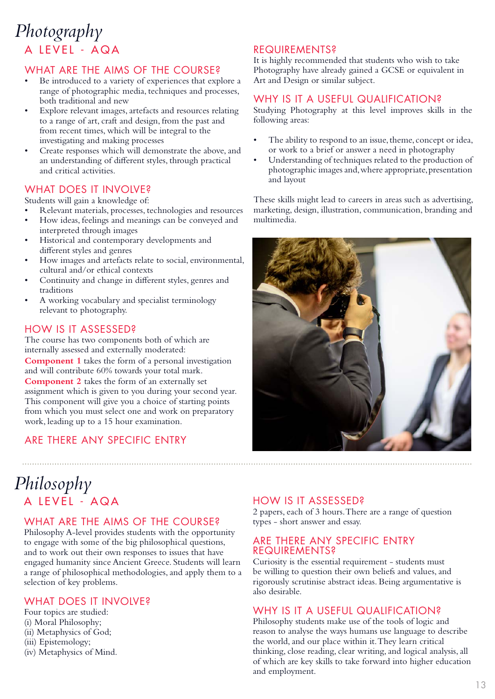### A LEVEL - AQA *Photography*

### WHAT ARE THE AIMS OF THE COURSE?

- Be introduced to a variety of experiences that explore a range of photographic media, techniques and processes, both traditional and new
- Explore relevant images, artefacts and resources relating to a range of art, craft and design, from the past and from recent times, which will be integral to the investigating and making processes
- Create responses which will demonstrate the above, and an understanding of different styles, through practical and critical activities.

### WHAT DOES IT INVOLVE?

Students will gain a knowledge of:

- Relevant materials, processes, technologies and resources
- How ideas, feelings and meanings can be conveyed and interpreted through images
- Historical and contemporary developments and different styles and genres
- How images and artefacts relate to social, environmental, cultural and/or ethical contexts
- Continuity and change in different styles, genres and traditions
- A working vocabulary and specialist terminology relevant to photography.

### HOW IS IT ASSESSED?

The course has two components both of which are internally assessed and externally moderated: **Component 1** takes the form of a personal investigation and will contribute 60% towards your total mark. **Component 2** takes the form of an externally set assignment which is given to you during your second year. This component will give you a choice of starting points from which you must select one and work on preparatory work, leading up to a 15 hour examination.

### ARE THERE ANY SPECIFIC ENTRY

### REQUIREMENTS?

It is highly recommended that students who wish to take Photography have already gained a GCSE or equivalent in Art and Design or similar subject.

### WHY IS IT A USEFUL QUALIFICATION?

Studying Photography at this level improves skills in the following areas:

- The ability to respond to an issue, theme, concept or idea, or work to a brief or answer a need in photography
- Understanding of techniques related to the production of photographic images and, where appropriate, presentation and layout

These skills might lead to careers in areas such as advertising, marketing, design, illustration, communication, branding and multimedia.



### A LEVEL - AQA *Philosophy*

### WHAT ARE THE AIMS OF THE COURSE?

Philosophy A-level provides students with the opportunity to engage with some of the big philosophical questions, and to work out their own responses to issues that have engaged humanity since Ancient Greece. Students will learn a range of philosophical methodologies, and apply them to a selection of key problems.

### WHAT DOES IT INVOLVE?

Four topics are studied: (i) Moral Philosophy; (ii) Metaphysics of God; (iii) Epistemology; (iv) Metaphysics of Mind.

### HOW IS IT ASSESSED?

2 papers, each of 3 hours. There are a range of question types - short answer and essay.

### ARE THERE ANY SPECIFIC ENTRY REQUIREMENTS?

Curiosity is the essential requirement - students must be willing to question their own beliefs and values, and rigorously scrutinise abstract ideas. Being argumentative is also desirable.

### WHY IS IT A USEFUL QUALIFICATION?

Philosophy students make use of the tools of logic and reason to analyse the ways humans use language to describe the world, and our place within it. They learn critical thinking, close reading, clear writing, and logical analysis, all of which are key skills to take forward into higher education and employment.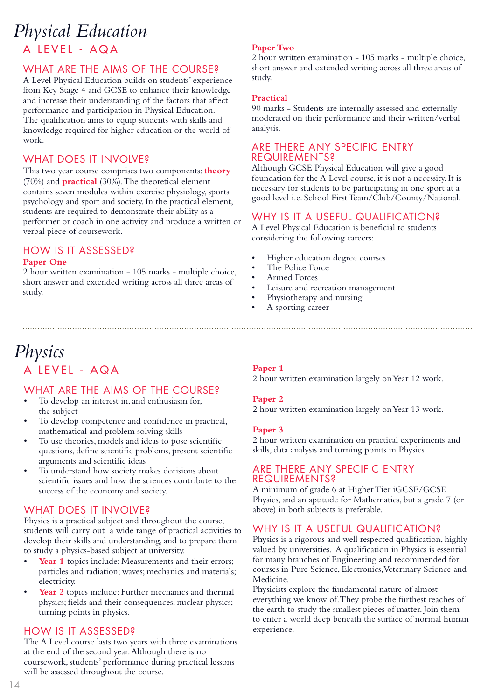### A LEVEL - AQA *Physical Education*

### WHAT ARE THE AIMS OF THE COURSE?

A Level Physical Education builds on students' experience from Key Stage 4 and GCSE to enhance their knowledge and increase their understanding of the factors that affect performance and participation in Physical Education. The qualification aims to equip students with skills and knowledge required for higher education or the world of work.

### WHAT DOES IT INVOLVE?

This two year course comprises two components: **theory** (70%) and **practical** (30%). The theoretical element contains seven modules within exercise physiology, sports psychology and sport and society. In the practical element, students are required to demonstrate their ability as a performer or coach in one activity and produce a written or verbal piece of coursework.

### HOW IS IT ASSESSED?

### **Paper One**

2 hour written examination - 105 marks - multiple choice, short answer and extended writing across all three areas of study.

### A LEVEL - AQA *Physics*

### WHAT ARE THE AIMS OF THE COURSE?

- To develop an interest in, and enthusiasm for, the subject
- To develop competence and confidence in practical, mathematical and problem solving skills
- To use theories, models and ideas to pose scientific questions, define scientific problems, present scientific arguments and scientific ideas
- To understand how society makes decisions about scientific issues and how the sciences contribute to the success of the economy and society.

### WHAT DOES IT INVOLVE?

Physics is a practical subject and throughout the course, students will carry out a wide range of practical activities to develop their skills and understanding, and to prepare them to study a physics-based subject at university.

- Year 1 topics include: Measurements and their errors: particles and radiation; waves; mechanics and materials; electricity.
- Year 2 topics include: Further mechanics and thermal physics; fields and their consequences; nuclear physics; turning points in physics.

### HOW IS IT ASSESSED?

The A Level course lasts two years with three examinations at the end of the second year. Although there is no coursework, students' performance during practical lessons will be assessed throughout the course.

### **Paper Two**

2 hour written examination - 105 marks - multiple choice, short answer and extended writing across all three areas of study.

### **Practical**

90 marks - Students are internally assessed and externally moderated on their performance and their written/verbal analysis.

### ARE THERE ANY SPECIFIC ENTRY REQUIREMENTS?

Although GCSE Physical Education will give a good foundation for the A Level course, it is not a necessity. It is necessary for students to be participating in one sport at a good level i.e. School First Team/Club/County/National.

### WHY IS IT A USEFUL QUALIFICATION?

A Level Physical Education is beneficial to students considering the following careers:

- Higher education degree courses
- The Police Force
- Armed Forces
- Leisure and recreation management
- Physiotherapy and nursing
- A sporting career

### **Paper 1**

2 hour written examination largely on Year 12 work.

### **Paper 2**

2 hour written examination largely on Year 13 work.

### **Paper 3**

2 hour written examination on practical experiments and skills, data analysis and turning points in Physics

### ARE THERE ANY SPECIFIC ENTRY **REQUIREMENTS?**

A minimum of grade 6 at Higher Tier iGCSE/GCSE Physics, and an aptitude for Mathematics, but a grade 7 (or above) in both subjects is preferable.

### WHY IS IT A USEFUL QUALIFICATION?

Physics is a rigorous and well respected qualification, highly valued by universities. A qualification in Physics is essential for many branches of Engineering and recommended for courses in Pure Science, Electronics, Veterinary Science and Medicine.

Physicists explore the fundamental nature of almost everything we know of. They probe the furthest reaches of the earth to study the smallest pieces of matter. Join them to enter a world deep beneath the surface of normal human experience.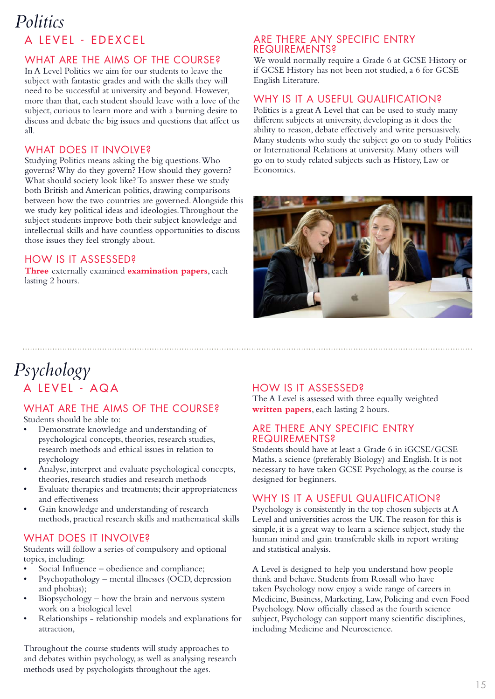### A LEVEL - EDEXCEL *Politics*

### WHAT ARE THE AIMS OF THE COURSE?

In A Level Politics we aim for our students to leave the subject with fantastic grades and with the skills they will need to be successful at university and beyond. However, more than that, each student should leave with a love of the subject, curious to learn more and with a burning desire to discuss and debate the big issues and questions that affect us all.

### WHAT DOES IT INVOLVE?

Studying Politics means asking the big questions. Who governs? Why do they govern? How should they govern? What should society look like? To answer these we study both British and American politics, drawing comparisons between how the two countries are governed. Alongside this we study key political ideas and ideologies. Throughout the subject students improve both their subject knowledge and intellectual skills and have countless opportunities to discuss those issues they feel strongly about.

### HOW IS IT ASSESSED?

**Three** externally examined **examination papers**, each lasting 2 hours.

### ARE THERE ANY SPECIFIC ENTRY REQUIREMENTS?

We would normally require a Grade 6 at GCSE History or if GCSE History has not been not studied, a 6 for GCSE English Literature.

### WHY IS IT A USEFUL QUALIFICATION?

Politics is a great A Level that can be used to study many different subjects at university, developing as it does the ability to reason, debate effectively and write persuasively. Many students who study the subject go on to study Politics or International Relations at university. Many others will go on to study related subjects such as History, Law or Economics.



### A LEVEL - AQA *Psychology*

### WHAT ARE THE AIMS OF THE COURSE?

Students should be able to:

- Demonstrate knowledge and understanding of psychological concepts, theories, research studies, research methods and ethical issues in relation to psychology
- Analyse, interpret and evaluate psychological concepts, theories, research studies and research methods
- Evaluate therapies and treatments; their appropriateness and effectiveness
- Gain knowledge and understanding of research methods, practical research skills and mathematical skills

### WHAT DOES IT INVOLVE?

Students will follow a series of compulsory and optional topics, including:

- Social Influence obedience and compliance;
- Psychopathology mental illnesses (OCD, depression and phobias);
- Biopsychology how the brain and nervous system work on a biological level
- Relationships relationship models and explanations for attraction,

Throughout the course students will study approaches to and debates within psychology, as well as analysing research methods used by psychologists throughout the ages.

### HOW IS IT ASSESSED?

The A Level is assessed with three equally weighted **written papers**, each lasting 2 hours.

### ARE THERE ANY SPECIFIC ENTRY REQUIREMENTS?

Students should have at least a Grade 6 in iGCSE/GCSE Maths, a science (preferably Biology) and English. It is not necessary to have taken GCSE Psychology, as the course is designed for beginners.

### WHY IS IT A USEFUL QUALIFICATION?

Psychology is consistently in the top chosen subjects at A Level and universities across the UK. The reason for this is simple, it is a great way to learn a science subject, study the human mind and gain transferable skills in report writing and statistical analysis.

A Level is designed to help you understand how people think and behave. Students from Rossall who have taken Psychology now enjoy a wide range of careers in Medicine, Business, Marketing, Law, Policing and even Food Psychology. Now officially classed as the fourth science subject, Psychology can support many scientific disciplines, including Medicine and Neuroscience.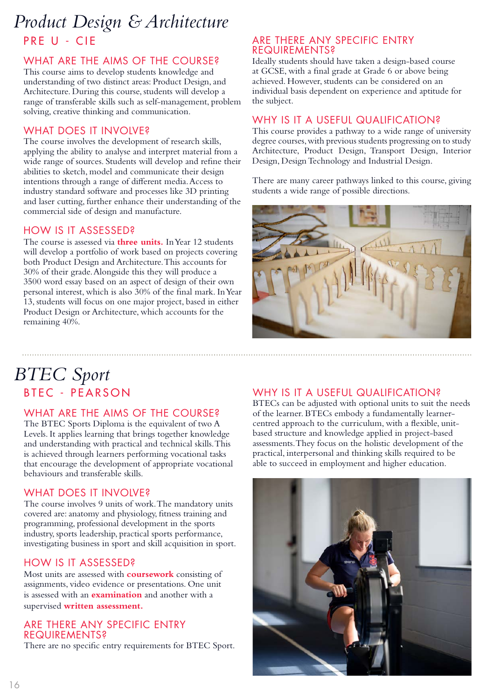### PRE U - CIE *Product Design & Architecture*

### WHAT ARE THE AIMS OF THE COURSE?

This course aims to develop students knowledge and understanding of two distinct areas: Product Design, and Architecture. During this course, students will develop a range of transferable skills such as self-management, problem solving, creative thinking and communication.

### WHAT DOES IT INVOLVE?

The course involves the development of research skills, applying the ability to analyse and interpret material from a wide range of sources. Students will develop and refine their abilities to sketch, model and communicate their design intentions through a range of different media. Access to industry standard software and processes like 3D printing and laser cutting, further enhance their understanding of the commercial side of design and manufacture.

### HOW IS IT ASSESSED?

The course is assessed via **three units.** In Year 12 students will develop a portfolio of work based on projects covering both Product Design and Architecture. This accounts for 30% of their grade. Alongside this they will produce a 3500 word essay based on an aspect of design of their own personal interest, which is also 30% of the final mark. In Year 13, students will focus on one major project, based in either Product Design or Architecture, which accounts for the remaining 40%.

### ARE THERE ANY SPECIFIC ENTRY REQUIREMENTS?

Ideally students should have taken a design-based course at GCSE, with a final grade at Grade 6 or above being achieved. However, students can be considered on an individual basis dependent on experience and aptitude for the subject.

### WHY IS IT A USEFUL QUALIFICATION?

This course provides a pathway to a wide range of university degree courses, with previous students progressing on to study Architecture, Product Design, Transport Design, Interior Design, Design Technology and Industrial Design.

There are many career pathways linked to this course, giving students a wide range of possible directions.



### BTEC - PEARSON *BTEC Sport*

### WHAT ARE THE AIMS OF THE COURSE?

The BTEC Sports Diploma is the equivalent of two A Levels. It applies learning that brings together knowledge and understanding with practical and technical skills. This is achieved through learners performing vocational tasks that encourage the development of appropriate vocational behaviours and transferable skills.

### WHAT DOES IT INVOLVE?

The course involves 9 units of work. The mandatory units covered are: anatomy and physiology, fitness training and programming, professional development in the sports industry, sports leadership, practical sports performance, investigating business in sport and skill acquisition in sport.

### HOW IS IT ASSESSED?

Most units are assessed with **coursework** consisting of assignments, video evidence or presentations. One unit is assessed with an **examination** and another with a supervised **written assessment.**

### ARE THERE ANY SPECIFIC ENTRY REQUIREMENTS?

There are no specific entry requirements for BTEC Sport.

### WHY IS IT A USEFUL QUALIFICATION?

BTECs can be adjusted with optional units to suit the needs of the learner. BTECs embody a fundamentally learnercentred approach to the curriculum, with a flexible, unitbased structure and knowledge applied in project-based assessments. They focus on the holistic development of the practical, interpersonal and thinking skills required to be able to succeed in employment and higher education.

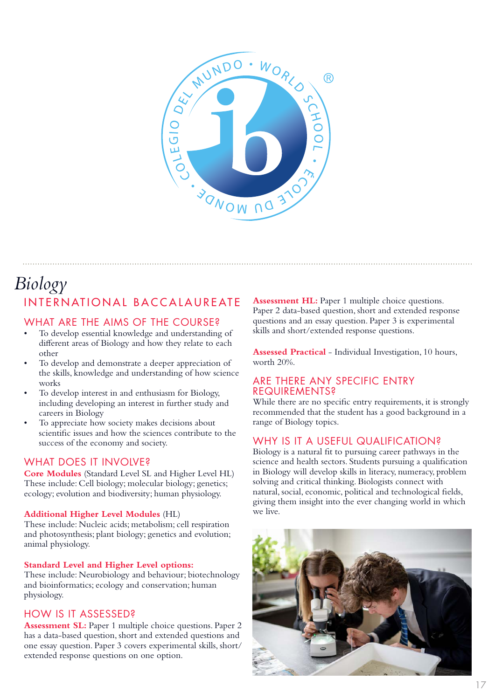

### INTERNATIONAL BACCALAUREATE *Biology*

### WHAT ARE THE AIMS OF THE COURSE?

- To develop essential knowledge and understanding of different areas of Biology and how they relate to each other
- To develop and demonstrate a deeper appreciation of the skills, knowledge and understanding of how science works
- To develop interest in and enthusiasm for Biology, including developing an interest in further study and careers in Biology
- To appreciate how society makes decisions about scientific issues and how the sciences contribute to the success of the economy and society.

### WHAT DOES IT INVOLVE?

**Core Modules** (Standard Level SL and Higher Level HL) These include: Cell biology; molecular biology; genetics; ecology; evolution and biodiversity; human physiology.

#### **Additional Higher Level Modules** (HL)

These include: Nucleic acids; metabolism; cell respiration and photosynthesis; plant biology; genetics and evolution; animal physiology.

#### **Standard Level and Higher Level options:**

These include: Neurobiology and behaviour; biotechnology and bioinformatics; ecology and conservation; human physiology.

### HOW IS IT ASSESSED?

**Assessment SL:** Paper 1 multiple choice questions. Paper 2 has a data-based question, short and extended questions and one essay question. Paper 3 covers experimental skills, short/ extended response questions on one option.

**Assessment HL:** Paper 1 multiple choice questions. Paper 2 data-based question, short and extended response questions and an essay question. Paper 3 is experimental skills and short/extended response questions.

**Assessed Practical** - Individual Investigation, 10 hours, worth 20%.

### ARE THERE ANY SPECIFIC ENTRY REQUIREMENTS?

While there are no specific entry requirements, it is strongly recommended that the student has a good background in a range of Biology topics.

### WHY IS IT A USEFUL QUALIFICATION?

Biology is a natural fit to pursuing career pathways in the science and health sectors. Students pursuing a qualification in Biology will develop skills in literacy, numeracy, problem solving and critical thinking. Biologists connect with natural, social, economic, political and technological fields, giving them insight into the ever changing world in which we live.

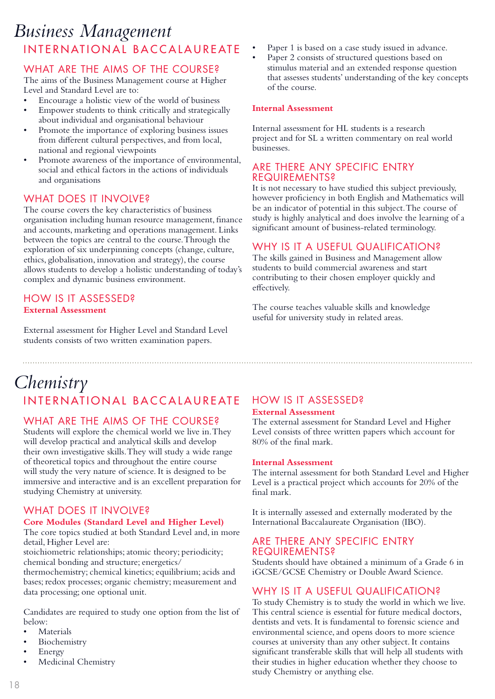### INTERNATIONAL BACCALAUREATE *Business Management*

### WHAT ARE THE AIMS OF THE COURSE?

The aims of the Business Management course at Higher Level and Standard Level are to:

- Encourage a holistic view of the world of business
- Empower students to think critically and strategically about individual and organisational behaviour
- Promote the importance of exploring business issues from different cultural perspectives, and from local, national and regional viewpoints
- Promote awareness of the importance of environmental, social and ethical factors in the actions of individuals and organisations

### WHAT DOES IT INVOLVE?

The course covers the key characteristics of business organisation including human resource management, finance and accounts, marketing and operations management. Links between the topics are central to the course. Through the exploration of six underpinning concepts (change, culture, ethics, globalisation, innovation and strategy), the course allows students to develop a holistic understanding of today's complex and dynamic business environment.

### HOW IS IT ASSESSED? **External Assessment**

External assessment for Higher Level and Standard Level students consists of two written examination papers.

- Paper 1 is based on a case study issued in advance.
- Paper 2 consists of structured questions based on stimulus material and an extended response question that assesses students' understanding of the key concepts of the course.

#### **Internal Assessment**

Internal assessment for HL students is a research project and for SL a written commentary on real world businesses.

### ARE THERE ANY SPECIFIC ENTRY **REQUIREMENTS?**

It is not necessary to have studied this subject previously, however proficiency in both English and Mathematics will be an indicator of potential in this subject. The course of study is highly analytical and does involve the learning of a significant amount of business-related terminology.

### WHY IS IT A USEFUL QUALIFICATION?

The skills gained in Business and Management allow students to build commercial awareness and start contributing to their chosen employer quickly and effectively.

The course teaches valuable skills and knowledge useful for university study in related areas.

### INTERNATIONAL BACCALAUREATE *Chemistry*

### WHAT ARE THE AIMS OF THE COURSE?

Students will explore the chemical world we live in. They will develop practical and analytical skills and develop their own investigative skills. They will study a wide range of theoretical topics and throughout the entire course will study the very nature of science. It is designed to be immersive and interactive and is an excellent preparation for studying Chemistry at university.

### WHAT DOES IT INVOLVE?

#### **Core Modules (Standard Level and Higher Level)**

The core topics studied at both Standard Level and, in more detail, Higher Level are:

stoichiometric relationships; atomic theory; periodicity; chemical bonding and structure; energetics/

thermochemistry; chemical kinetics; equilibrium; acids and bases; redox processes; organic chemistry; measurement and data processing; one optional unit.

Candidates are required to study one option from the list of below:

- **Materials**
- Biochemistry
- **Energy**
- Medicinal Chemistry

### HOW IS IT ASSESSED?

#### **External Assessment**

The external assessment for Standard Level and Higher Level consists of three written papers which account for 80% of the final mark.

#### **Internal Assessment**

The internal assessment for both Standard Level and Higher Level is a practical project which accounts for 20% of the final mark.

It is internally assessed and externally moderated by the International Baccalaureate Organisation (IBO).

#### ARE THERE ANY SPECIFIC ENTRY REQUIREMENTS?

Students should have obtained a minimum of a Grade 6 in iGCSE/GCSE Chemistry or Double Award Science.

### WHY IS IT A USEFUL QUALIFICATION?

To study Chemistry is to study the world in which we live. This central science is essential for future medical doctors, dentists and vets. It is fundamental to forensic science and environmental science, and opens doors to more science courses at university than any other subject. It contains significant transferable skills that will help all students with their studies in higher education whether they choose to study Chemistry or anything else.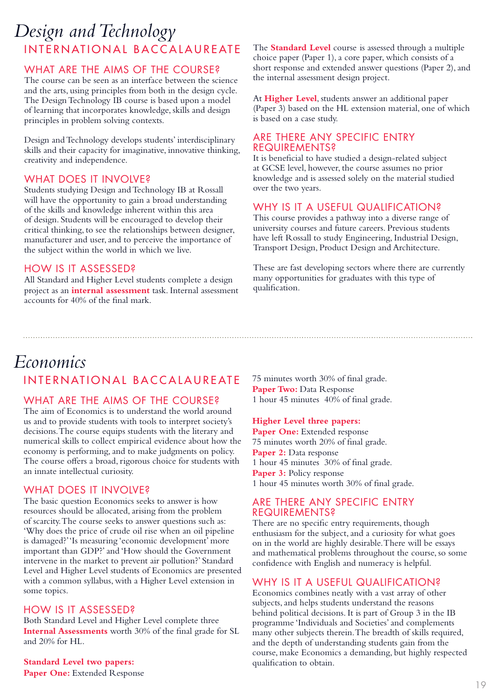### INTERNATIONAL BACCALAUREATE *Design and Technology*

### WHAT ARE THE AIMS OF THE COURSE?

The course can be seen as an interface between the science and the arts, using principles from both in the design cycle. The Design Technology IB course is based upon a model of learning that incorporates knowledge, skills and design principles in problem solving contexts.

Design and Technology develops students' interdisciplinary skills and their capacity for imaginative, innovative thinking, creativity and independence.

### WHAT DOES IT INVOLVE?

Students studying Design and Technology IB at Rossall will have the opportunity to gain a broad understanding of the skills and knowledge inherent within this area of design. Students will be encouraged to develop their critical thinking, to see the relationships between designer, manufacturer and user, and to perceive the importance of the subject within the world in which we live.

### HOW IS IT ASSESSED?

All Standard and Higher Level students complete a design project as an **internal assessment** task. Internal assessment accounts for 40% of the final mark.

The **Standard Level** course is assessed through a multiple choice paper (Paper 1), a core paper, which consists of a short response and extended answer questions (Paper 2), and the internal assessment design project.

At **Higher Level**, students answer an additional paper (Paper 3) based on the HL extension material, one of which is based on a case study.

#### ARE THERE ANY SPECIFIC ENTRY REQUIREMENTS?

It is beneficial to have studied a design-related subject at GCSE level, however, the course assumes no prior knowledge and is assessed solely on the material studied over the two years.

### WHY IS IT A USEFUL QUALIFICATION?

This course provides a pathway into a diverse range of university courses and future careers. Previous students have left Rossall to study Engineering, Industrial Design, Transport Design, Product Design and Architecture.

These are fast developing sectors where there are currently many opportunities for graduates with this type of qualification.

### INTERNATIONAL BACCALAUREATE *Economics*

### WHAT ARE THE AIMS OF THE COURSE?

The aim of Economics is to understand the world around us and to provide students with tools to interpret society's decisions. The course equips students with the literary and numerical skills to collect empirical evidence about how the economy is performing, and to make judgments on policy. The course offers a broad, rigorous choice for students with an innate intellectual curiosity.

### WHAT DOES IT INVOLVE?

The basic question Economics seeks to answer is how resources should be allocated, arising from the problem of scarcity. The course seeks to answer questions such as: 'Why does the price of crude oil rise when an oil pipeline is damaged?' 'Is measuring 'economic development' more important than GDP?' and 'How should the Government intervene in the market to prevent air pollution?' Standard Level and Higher Level students of Economics are presented with a common syllabus, with a Higher Level extension in some topics.

### HOW IS IT ASSESSED?

Both Standard Level and Higher Level complete three **Internal Assessments** worth 30% of the final grade for SL and 20% for HL.

### **Standard Level two papers:**

Paper One: Extended Response

75 minutes worth 30% of final grade. Paper Two: Data Response 1 hour 45 minutes 40% of final grade.

#### **Higher Level three papers:**

Paper One: Extended response 75 minutes worth 20% of final grade. **Paper 2:** Data response 1 hour 45 minutes 30% of final grade. **Paper 3:** Policy response 1 hour 45 minutes worth 30% of final grade.

### ARE THERE ANY SPECIFIC ENTRY REQUIREMENTS?

There are no specific entry requirements, though enthusiasm for the subject, and a curiosity for what goes on in the world are highly desirable. There will be essays and mathematical problems throughout the course, so some confidence with English and numeracy is helpful.

### WHY IS IT A USEFUL QUALIFICATION?

Economics combines neatly with a vast array of other subjects, and helps students understand the reasons behind political decisions. It is part of Group 3 in the IB programme 'Individuals and Societies' and complements many other subjects therein. The breadth of skills required, and the depth of understanding students gain from the course, make Economics a demanding, but highly respected qualification to obtain.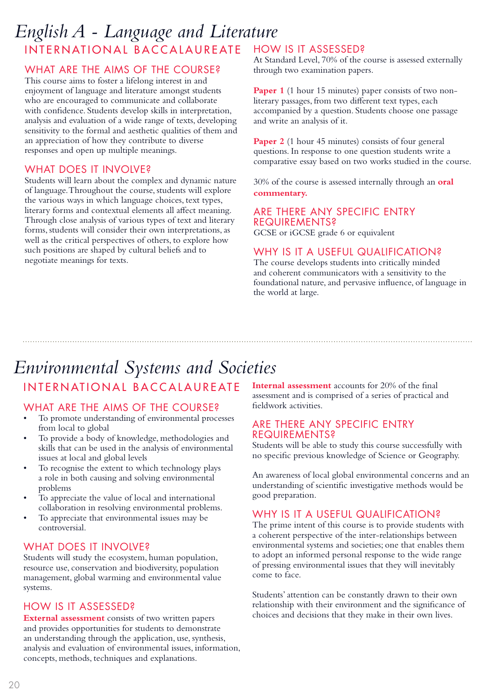### INTERNATIONAL BACCALAUREATE *English A - Language and Literature*

### WHAT ARE THE AIMS OF THE COURSE?

This course aims to foster a lifelong interest in and enjoyment of language and literature amongst students who are encouraged to communicate and collaborate with confidence. Students develop skills in interpretation, analysis and evaluation of a wide range of texts, developing sensitivity to the formal and aesthetic qualities of them and an appreciation of how they contribute to diverse responses and open up multiple meanings.

### WHAT DOES IT INVOLVE?

Students will learn about the complex and dynamic nature of language. Throughout the course, students will explore the various ways in which language choices, text types, literary forms and contextual elements all affect meaning. Through close analysis of various types of text and literary forms, students will consider their own interpretations, as well as the critical perspectives of others, to explore how such positions are shaped by cultural beliefs and to negotiate meanings for texts.

### HOW IS IT ASSESSED?

At Standard Level, 70% of the course is assessed externally through two examination papers.

**Paper 1** (1 hour 15 minutes) paper consists of two nonliterary passages, from two different text types, each accompanied by a question. Students choose one passage and write an analysis of it.

**Paper 2** (1 hour 45 minutes) consists of four general questions. In response to one question students write a comparative essay based on two works studied in the course.

30% of the course is assessed internally through an **oral commentary.**

#### ARE THERE ANY SPECIFIC ENTRY REQUIREMENTS?

GCSE or iGCSE grade 6 or equivalent

### WHY IS IT A USEFUL QUALIFICATION?

The course develops students into critically minded and coherent communicators with a sensitivity to the foundational nature, and pervasive influence, of language in the world at large.

### INTERNATIONAL BACCALAUREATE *Environmental Systems and Societies*

### WHAT ARE THE AIMS OF THE COURSE?

- To promote understanding of environmental processes from local to global
- To provide a body of knowledge, methodologies and skills that can be used in the analysis of environmental issues at local and global levels
- To recognise the extent to which technology plays a role in both causing and solving environmental problems
- To appreciate the value of local and international collaboration in resolving environmental problems.
- To appreciate that environmental issues may be controversial.

### WHAT DOES IT INVOLVE?

Students will study the ecosystem, human population, resource use, conservation and biodiversity, population management, global warming and environmental value systems.

### HOW IS IT ASSESSED?

**External assessment** consists of two written papers and provides opportunities for students to demonstrate an understanding through the application, use, synthesis, analysis and evaluation of environmental issues, information, concepts, methods, techniques and explanations.

**Internal assessment** accounts for 20% of the final assessment and is comprised of a series of practical and fieldwork activities.

### ARE THERE ANY SPECIFIC ENTRY **REQUIREMENTS?**

Students will be able to study this course successfully with no specific previous knowledge of Science or Geography.

An awareness of local global environmental concerns and an understanding of scientific investigative methods would be good preparation.

### WHY IS IT A USEFUL QUALIFICATION?

The prime intent of this course is to provide students with a coherent perspective of the inter-relationships between environmental systems and societies; one that enables them to adopt an informed personal response to the wide range of pressing environmental issues that they will inevitably come to face.

Students' attention can be constantly drawn to their own relationship with their environment and the significance of choices and decisions that they make in their own lives.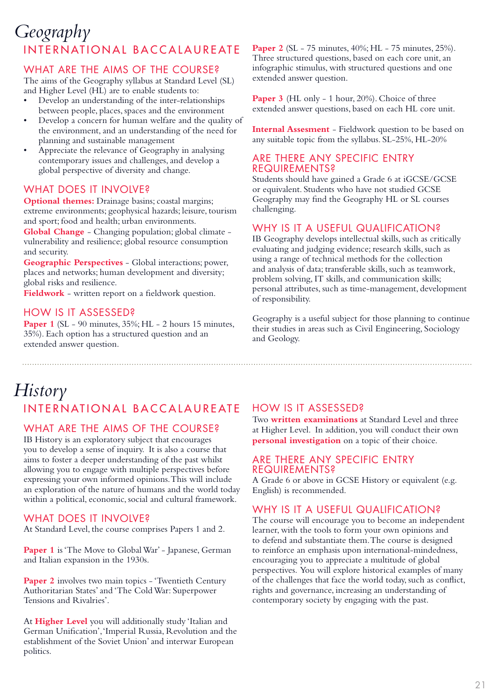### INTERNATIONAL BACCALAUREATE *Geography*

### WHAT ARE THE AIMS OF THE COURSE?

The aims of the Geography syllabus at Standard Level (SL) and Higher Level (HL) are to enable students to:

- Develop an understanding of the inter-relationships between people, places, spaces and the environment
- Develop a concern for human welfare and the quality of the environment, and an understanding of the need for planning and sustainable management
- Appreciate the relevance of Geography in analysing contemporary issues and challenges, and develop a global perspective of diversity and change.

### WHAT DOES IT INVOLVE?

**Optional themes:** Drainage basins; coastal margins; extreme environments; geophysical hazards; leisure, tourism and sport; food and health; urban environments.

**Global Change** - Changing population; global climate vulnerability and resilience; global resource consumption and security.

**Geographic Perspectives** - Global interactions; power, places and networks; human development and diversity; global risks and resilience.

**Fieldwork** - written report on a fieldwork question.

### HOW IS IT ASSESSED?

**Paper 1** (SL - 90 minutes, 35%; HL - 2 hours 15 minutes, 35%). Each option has a structured question and an extended answer question.

**Paper 2** (SL - 75 minutes, 40%; HL - 75 minutes, 25%). Three structured questions, based on each core unit, an infographic stimulus, with structured questions and one extended answer question.

Paper 3 (HL only - 1 hour, 20%). Choice of three extended answer questions, based on each HL core unit.

**Internal Assesment** - Fieldwork question to be based on any suitable topic from the syllabus. SL-25%, HL-20%

### ARE THERE ANY SPECIFIC ENTRY REQUIREMENTS?

Students should have gained a Grade 6 at iGCSE/GCSE or equivalent. Students who have not studied GCSE Geography may find the Geography HL or SL courses challenging.

### WHY IS IT A USEFUL QUALIFICATION?

IB Geography develops intellectual skills, such as critically evaluating and judging evidence; research skills, such as using a range of technical methods for the collection and analysis of data; transferable skills, such as teamwork, problem solving, IT skills, and communication skills; personal attributes, such as time-management, development of responsibility.

Geography is a useful subject for those planning to continue their studies in areas such as Civil Engineering, Sociology and Geology.

### INTERNATIONAL BACCALAUREATE *History*

### WHAT ARE THE AIMS OF THE COURSE?

IB History is an exploratory subject that encourages you to develop a sense of inquiry. It is also a course that aims to foster a deeper understanding of the past whilst allowing you to engage with multiple perspectives before expressing your own informed opinions. This will include an exploration of the nature of humans and the world today within a political, economic, social and cultural framework.

### WHAT DOES IT INVOLVE?

At Standard Level, the course comprises Papers 1 and 2.

Paper 1 is 'The Move to Global War' - Japanese, German and Italian expansion in the 1930s.

Paper 2 involves two main topics - 'Twentieth Century Authoritarian States' and 'The Cold War: Superpower Tensions and Rivalries'.

At **Higher Level** you will additionally study 'Italian and German Unification', 'Imperial Russia, Revolution and the establishment of the Soviet Union' and interwar European politics.

### HOW IS IT ASSESSED?

Two **written examinations** at Standard Level and three at Higher Level. In addition, you will conduct their own **personal investigation** on a topic of their choice.

### ARE THERE ANY SPECIFIC ENTRY REQUIREMENTS?

A Grade 6 or above in GCSE History or equivalent (e.g. English) is recommended.

### WHY IS IT A USEFUL QUALIFICATION?

The course will encourage you to become an independent learner, with the tools to form your own opinions and to defend and substantiate them. The course is designed to reinforce an emphasis upon international-mindedness, encouraging you to appreciate a multitude of global perspectives. You will explore historical examples of many of the challenges that face the world today, such as conflict, rights and governance, increasing an understanding of contemporary society by engaging with the past.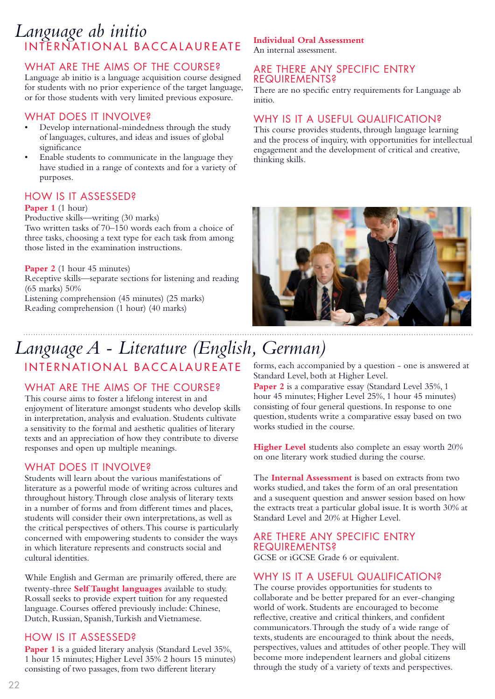### INTERNATIONAL BACCALAUREATE *Language ab initio*

### WHAT ARE THE AIMS OF THE COURSE?

Language ab initio is a language acquisition course designed for students with no prior experience of the target language, or for those students with very limited previous exposure.

### WHAT DOES IT INVOLVE?

- Develop international-mindedness through the study of languages, cultures, and ideas and issues of global significance
- Enable students to communicate in the language they have studied in a range of contexts and for a variety of purposes.

### HOW IS IT ASSESSED?

#### Paper 1 (1 hour)

Productive skills—writing (30 marks)

Two written tasks of 70–150 words each from a choice of three tasks, choosing a text type for each task from among those listed in the examination instructions.

#### Paper 2 (1 hour 45 minutes)

Receptive skills—separate sections for listening and reading (65 marks) 50%

Listening comprehension (45 minutes) (25 marks) Reading comprehension (1 hour) (40 marks)

### **Individual Oral Assessment**

An internal assessment.

### ARE THERE ANY SPECIFIC ENTRY **REQUIREMENTS?**

There are no specific entry requirements for Language ab initio.

### WHY IS IT A USEFUL QUALIFICATION?

This course provides students, through language learning and the process of inquiry, with opportunities for intellectual engagement and the development of critical and creative, thinking skills.



### INTERNATIONAL BACCALAUREATE *Language A - Literature (English, German)*

### WHAT ARE THE AIMS OF THE COURSE?

This course aims to foster a lifelong interest in and enjoyment of literature amongst students who develop skills in interpretation, analysis and evaluation. Students cultivate a sensitivity to the formal and aesthetic qualities of literary texts and an appreciation of how they contribute to diverse responses and open up multiple meanings.

### WHAT DOES IT INVOLVE?

Students will learn about the various manifestations of literature as a powerful mode of writing across cultures and throughout history. Through close analysis of literary texts in a number of forms and from different times and places, students will consider their own interpretations, as well as the critical perspectives of others. This course is particularly concerned with empowering students to consider the ways in which literature represents and constructs social and cultural identities.

While English and German are primarily offered, there are twenty-three **Self Taught languages** available to study. Rossall seeks to provide expert tuition for any requested language. Courses offered previously include: Chinese, Dutch, Russian, Spanish, Turkish and Vietnamese.

### HOW IS IT ASSESSED?

Paper 1 is a guided literary analysis (Standard Level 35%, 1 hour 15 minutes; Higher Level 35% 2 hours 15 minutes) consisting of two passages, from two different literary

forms, each accompanied by a question - one is answered at Standard Level, both at Higher Level.

Paper 2 is a comparative essay (Standard Level 35%, 1 hour 45 minutes; Higher Level 25%, 1 hour 45 minutes) consisting of four general questions. In response to one question, students write a comparative essay based on two works studied in the course.

**Higher Level** students also complete an essay worth 20% on one literary work studied during the course.

The **Internal Assessment** is based on extracts from two works studied, and takes the form of an oral presentation and a susequent question and answer session based on how the extracts treat a particular global issue. It is worth 30% at Standard Level and 20% at Higher Level.

### ARE THERE ANY SPECIFIC ENTRY REQUIREMENTS?

GCSE or iGCSE Grade 6 or equivalent.

### WHY IS IT A USEFUL QUALIFICATION?

The course provides opportunities for students to collaborate and be better prepared for an ever-changing world of work. Students are encouraged to become reflective, creative and critical thinkers, and confident communicators. Through the study of a wide range of texts, students are encouraged to think about the needs, perspectives, values and attitudes of other people. They will become more independent learners and global citizens through the study of a variety of texts and perspectives.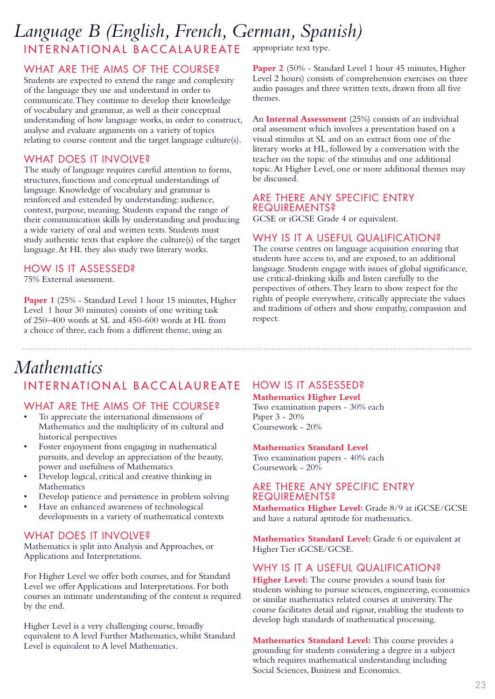### INTERNATIONAL BACCALAUREATE appropriate text type. *Language B (English, French, German, Spanish)*

### WHAT ARE THE AIMS OF THE COURSE?

Students are expected to extend the range and complexity of the language they use and understand in order to communicate. They continue to develop their knowledge of vocabulary and grammar, as well as their conceptual understanding of how language works, in order to construct, analyse and evaluate arguments on a variety of topics relating to course content and the target language culture(s).

### WHAT DOES IT INVOLVE?

The study of language requires careful attention to forms, structures, functions and conceptual understandings of language. Knowledge of vocabulary and grammar is reinforced and extended by understanding: audience, context, purpose, meaning. Students expand the range of their communication skills by understanding and producing a wide variety of oral and written texts. Students must study authentic texts that explore the culture(s) of the target language. At HL they also study two literary works.

### HOW IS IT ASSESSED?

75% External assessment.

Paper 1 (25% - Standard Level 1 hour 15 minutes, Higher Level 1 hour 30 minutes) consists of one writing task of 250–400 words at SL and 450-600 words at HL from a choice of three, each from a different theme, using an

Paper 2 (50% - Standard Level 1 hour 45 minutes, Higher Level 2 hours) consists of comprehension exercises on three audio passages and three written texts, drawn from all five themes.

An **Internal Assessment** (25%) consists of an individual oral assessment which involves a presentation based on a visual stimulus at SL and on an extract from one of the literary works at HL, followed by a conversation with the teacher on the topic of the stimulus and one additional topic. At Higher Level, one or more additional themes may be discussed.

#### ARE THERE ANY SPECIFIC ENTRY REQUIREMENTS?

GCSE or iGCSE Grade 4 or equivalent.

### WHY IS IT A USEFUL QUALIFICATION?

The course centres on language acquisition ensuring that students have access to, and are exposed, to an additional language. Students engage with issues of global significance, use critical-thinking skills and listen carefully to the perspectives of others. They learn to show respect for the rights of people everywhere, critically appreciate the values and traditions of others and show empathy, compassion and respect.

### INTERNATIONAL BACCALAUREATE *Mathematics*

### WHAT ARE THE AIMS OF THE COURSE?

- To appreciate the international dimensions of Mathematics and the multiplicity of its cultural and historical perspectives
- Foster enjoyment from engaging in mathematical pursuits, and develop an appreciation of the beauty, power and usefulness of Mathematics
- Develop logical, critical and creative thinking in Mathematics
- Develop patience and persistence in problem solving
- Have an enhanced awareness of technological developments in a variety of mathematical contexts

### WHAT DOES IT INVOLVE?

Mathematics is split into Analysis and Approaches, or Applications and Interpretations.

For Higher Level we offer both courses, and for Standard Level we offer Applications and Interpretations. For both courses an intimate understanding of the content is required by the end.

Higher Level is a very challenging course, broadly equivalent to A level Further Mathematics, whilst Standard Level is equivalent to A level Mathematics.

### HOW IS IT ASSESSED?

**Mathematics Higher Level** Two examination papers - 30% each Paper 3 - 20% Coursework - 20%

#### **Mathematics Standard Level**

Two examination papers - 40% each Coursework - 20%

### ARE THERE ANY SPECIFIC ENTRY REQUIREMENTS?

**Mathematics Higher Level:** Grade 8/9 at iGCSE/GCSE and have a natural aptitude for mathematics.

**Mathematics Standard Level:** Grade 6 or equivalent at Higher Tier iGCSE/GCSE.

### WHY IS IT A USEFUL QUALIFICATION?

**Higher Level:** The course provides a sound basis for students wishing to pursue sciences, engineering, economics or similar mathematics related courses at university. The course facilitates detail and rigour, enabling the students to develop high standards of mathematical processing.

**Mathematics Standard Level:** This course provides a grounding for students considering a degree in a subject which requires mathematical understanding including Social Sciences, Business and Economics.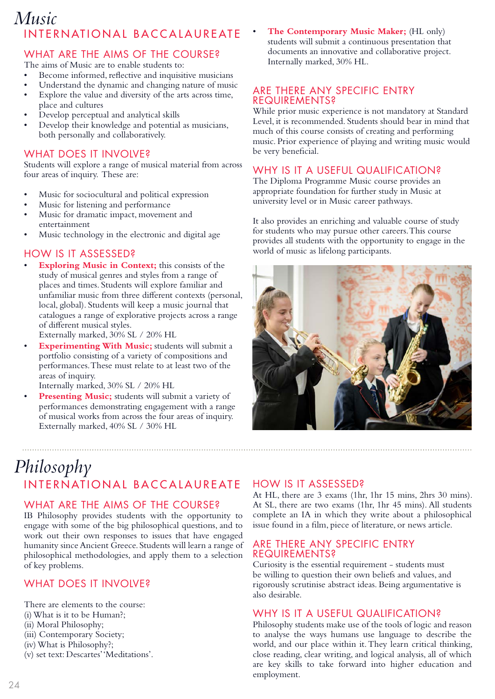### INTERNATIONAL BACCALAUREATE *Music*

### WHAT ARE THE AIMS OF THE COURSE?

The aims of Music are to enable students to:

- Become informed, reflective and inquisitive musicians
- Understand the dynamic and changing nature of music
- Explore the value and diversity of the arts across time, place and cultures
- Develop perceptual and analytical skills
- Develop their knowledge and potential as musicians, both personally and collaboratively.

### WHAT DOES IT INVOLVE?

Students will explore a range of musical material from across four areas of inquiry. These are:

- Music for sociocultural and political expression
- Music for listening and performance
- Music for dramatic impact, movement and entertainment
- Music technology in the electronic and digital age

### HOW IS IT ASSESSED?

**Exploring Music in Context;** this consists of the study of musical genres and styles from a range of places and times. Students will explore familiar and unfamiliar music from three different contexts (personal, local, global). Students will keep a music journal that catalogues a range of explorative projects across a range of different musical styles.

Externally marked, 30% SL / 20% HL

**Experimenting With Music;** students will submit a portfolio consisting of a variety of compositions and performances. These must relate to at least two of the areas of inquiry.

Internally marked, 30% SL / 20% HL

Presenting Music; students will submit a variety of performances demonstrating engagement with a range of musical works from across the four areas of inquiry. Externally marked, 40% SL / 30% HL

### INTERNATIONAL BACCALAUREATE *Philosophy*

### WHAT ARE THE AIMS OF THE COURSE?

IB Philosophy provides students with the opportunity to engage with some of the big philosophical questions, and to work out their own responses to issues that have engaged humanity since Ancient Greece. Students will learn a range of philosophical methodologies, and apply them to a selection of key problems.

### WHAT DOES IT INVOLVE?

There are elements to the course: (i) What is it to be Human?; (ii) Moral Philosophy; (iii) Contemporary Society; (iv) What is Philosophy?; (v) set text: Descartes' 'Meditations'. • **The Contemporary Music Maker;** (HL only) students will submit a continuous presentation that documents an innovative and collaborative project. Internally marked, 30% HL.

### ARE THERE ANY SPECIFIC ENTRY REQUIREMENTS?

While prior music experience is not mandatory at Standard Level, it is recommended. Students should bear in mind that much of this course consists of creating and performing music. Prior experience of playing and writing music would be very beneficial.

### WHY IS IT A USEFUL QUALIFICATION?

The Diploma Programme Music course provides an appropriate foundation for further study in Music at university level or in Music career pathways.

It also provides an enriching and valuable course of study for students who may pursue other careers. This course provides all students with the opportunity to engage in the world of music as lifelong participants.



### HOW IS IT ASSESSED?

At HL, there are 3 exams (1hr, 1hr 15 mins, 2hrs 30 mins). At SL, there are two exams (1hr, 1hr 45 mins). All students complete an IA in which they write about a philosophical issue found in a film, piece of literature, or news article.

### ARE THERE ANY SPECIFIC ENTRY REQUIREMENTS?

Curiosity is the essential requirement - students must be willing to question their own beliefs and values, and rigorously scrutinise abstract ideas. Being argumentative is also desirable.

### WHY IS IT A USEFUL QUALIFICATION?

Philosophy students make use of the tools of logic and reason to analyse the ways humans use language to describe the world, and our place within it. They learn critical thinking, close reading, clear writing, and logical analysis, all of which are key skills to take forward into higher education and employment.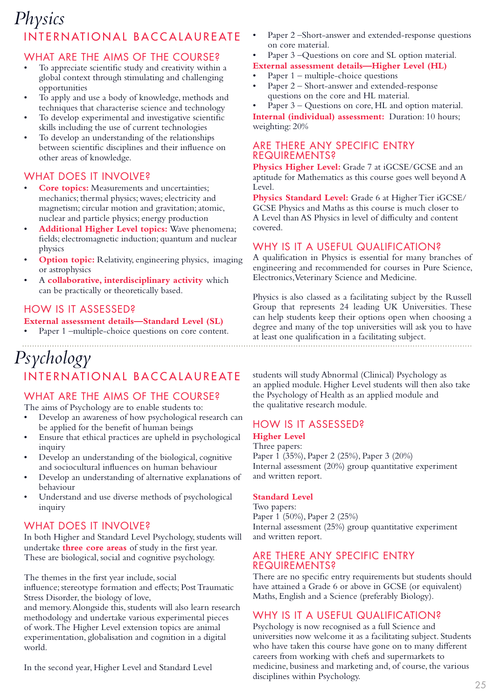### INTERNATIONAL BACCALAUREATE *Physics*

### WHAT ARE THE AIMS OF THE COURSE?

- To appreciate scientific study and creativity within a global context through stimulating and challenging opportunities
- To apply and use a body of knowledge, methods and techniques that characterise science and technology
- To develop experimental and investigative scientific skills including the use of current technologies
- To develop an understanding of the relationships between scientific disciplines and their influence on other areas of knowledge.

### WHAT DOES IT INVOLVE?

- **Core topics:** Measurements and uncertainties; mechanics; thermal physics; waves; electricity and magnetism; circular motion and gravitation; atomic, nuclear and particle physics; energy production
- **Additional Higher Level topics:** Wave phenomena; fields; electromagnetic induction; quantum and nuclear physics
- **Option topic:** Relativity, engineering physics, imaging or astrophysics
- A **collaborative, interdisciplinary activity** which can be practically or theoretically based.

### HOW IS IT ASSESSED?

**External assessment details—Standard Level (SL)** Paper 1 –multiple-choice questions on core content.

### *Psychology*INTERNATIONAL BACCALAUREATE

### WHAT ARE THE AIMS OF THE COURSE?

The aims of Psychology are to enable students to:

- Develop an awareness of how psychological research can be applied for the benefit of human beings
- Ensure that ethical practices are upheld in psychological inquiry
- Develop an understanding of the biological, cognitive and sociocultural influences on human behaviour
- Develop an understanding of alternative explanations of behaviour
- Understand and use diverse methods of psychological inquiry

### WHAT DOES IT INVOLVE?

In both Higher and Standard Level Psychology, students will undertake **three core areas** of study in the first year. These are biological, social and cognitive psychology.

The themes in the first year include, social

influence; stereotype formation and effects; Post Traumatic Stress Disorder, the biology of love,

and memory. Alongside this, students will also learn research methodology and undertake various experimental pieces of work. The Higher Level extension topics are animal experimentation, globalisation and cognition in a digital world.

In the second year, Higher Level and Standard Level

- Paper 2 –Short-answer and extended-response questions on core material.
- Paper 3 Questions on core and SL option material.
- **External assessment details—Higher Level (HL)**
- Paper 1 multiple-choice questions
- Paper 2 Short-answer and extended-response questions on the core and HL material.

Paper 3 – Questions on core, HL and option material.

**Internal (individual) assessment:** Duration: 10 hours; weighting: 20%

### ARE THERE ANY SPECIFIC ENTRY REQUIREMENTS?

Physics Higher Level: Grade 7 at iGCSE/GCSE and an aptitude for Mathematics as this course goes well beyond A Level.

**Physics Standard Level:** Grade 6 at Higher Tier iGCSE/ GCSE Physics and Maths as this course is much closer to A Level than AS Physics in level of difficulty and content covered.

### WHY IS IT A USEFUL QUALIFICATION?

A qualification in Physics is essential for many branches of engineering and recommended for courses in Pure Science, Electronics, Veterinary Science and Medicine.

Physics is also classed as a facilitating subject by the Russell Group that represents 24 leading UK Universities. These can help students keep their options open when choosing a degree and many of the top universities will ask you to have at least one qualification in a facilitating subject.

students will study Abnormal (Clinical) Psychology as an applied module. Higher Level students will then also take the Psychology of Health as an applied module and the qualitative research module.

### HOW IS IT ASSESSED?

### **Higher Level**

Three papers: Paper 1 (35%), Paper 2 (25%), Paper 3 (20%) Internal assessment (20%) group quantitative experiment and written report.

### **Standard Level**

Two papers: Paper 1 (50%), Paper 2 (25%) Internal assessment (25%) group quantitative experiment and written report.

### ARE THERE ANY SPECIFIC ENTRY REQUIREMENTS?

There are no specific entry requirements but students should have attained a Grade 6 or above in GCSE (or equivalent) Maths, English and a Science (preferably Biology).

### WHY IS IT A USEFUL QUALIFICATION?

Psychology is now recognised as a full Science and universities now welcome it as a facilitating subject. Students who have taken this course have gone on to many different careers from working with chefs and supermarkets to medicine, business and marketing and, of course, the various disciplines within Psychology.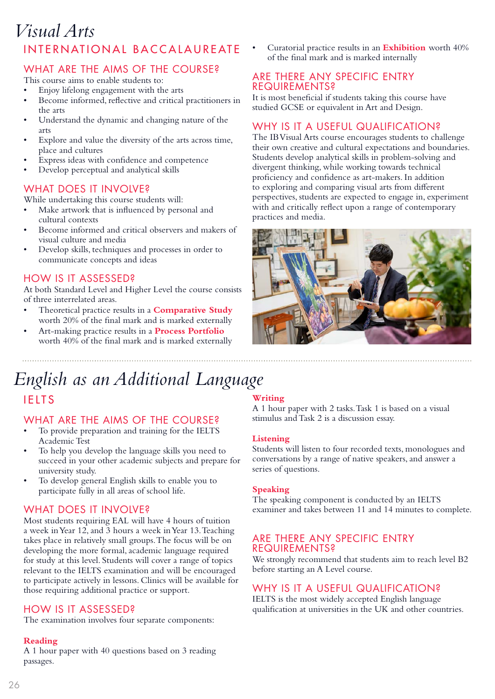### INTERNATIONAL BACCALAUREATE *Visual Arts*

### WHAT ARE THE AIMS OF THE COURSE?

This course aims to enable students to:

- Enjoy lifelong engagement with the arts
- Become informed, reflective and critical practitioners in the arts
- Understand the dynamic and changing nature of the arts
- Explore and value the diversity of the arts across time, place and cultures
- Express ideas with confidence and competence
- Develop perceptual and analytical skills

### WHAT DOES IT INVOLVE?

While undertaking this course students will:

- Make artwork that is influenced by personal and cultural contexts
- Become informed and critical observers and makers of visual culture and media
- Develop skills, techniques and processes in order to communicate concepts and ideas

### HOW IS IT ASSESSED?

At both Standard Level and Higher Level the course consists of three interrelated areas.

- Theoretical practice results in a **Comparative Study**  worth 20% of the final mark and is marked externally
- Art-making practice results in a **Process Portfolio** worth 40% of the final mark and is marked externally

• Curatorial practice results in an **Exhibition** worth 40% of the final mark and is marked internally

### ARE THERE ANY SPECIFIC ENTRY REQUIREMENTS?

It is most beneficial if students taking this course have studied GCSE or equivalent in Art and Design.

### WHY IS IT A USEFUL QUALIFICATION?

The IB Visual Arts course encourages students to challenge their own creative and cultural expectations and boundaries. Students develop analytical skills in problem-solving and divergent thinking, while working towards technical proficiency and confidence as art-makers. In addition to exploring and comparing visual arts from different perspectives, students are expected to engage in, experiment with and critically reflect upon a range of contemporary practices and media.



### *English as an Additional Language*

### IELTS

### WHAT ARE THE AIMS OF THE COURSE?

- To provide preparation and training for the IELTS Academic Test
- To help you develop the language skills you need to succeed in your other academic subjects and prepare for university study.
- To develop general English skills to enable you to participate fully in all areas of school life.

### WHAT DOES IT INVOLVE?

Most students requiring EAL will have 4 hours of tuition a week in Year 12, and 3 hours a week in Year 13. Teaching takes place in relatively small groups. The focus will be on developing the more formal, academic language required for study at this level. Students will cover a range of topics relevant to the IELTS examination and will be encouraged to participate actively in lessons. Clinics will be available for those requiring additional practice or support.

### HOW IS IT ASSESSED?

The examination involves four separate components:

#### **Reading**

A 1 hour paper with 40 questions based on 3 reading passages.

### **Writing**

A 1 hour paper with 2 tasks. Task 1 is based on a visual stimulus and Task 2 is a discussion essay.

#### **Listening**

Students will listen to four recorded texts, monologues and conversations by a range of native speakers, and answer a series of questions.

#### **Speaking**

The speaking component is conducted by an IELTS examiner and takes between 11 and 14 minutes to complete.

### ARE THERE ANY SPECIFIC ENTRY REQUIREMENTS?

We strongly recommend that students aim to reach level B2 before starting an A Level course.

### WHY IS IT A USEFUL QUALIFICATION?

IELTS is the most widely accepted English language qualification at universities in the UK and other countries.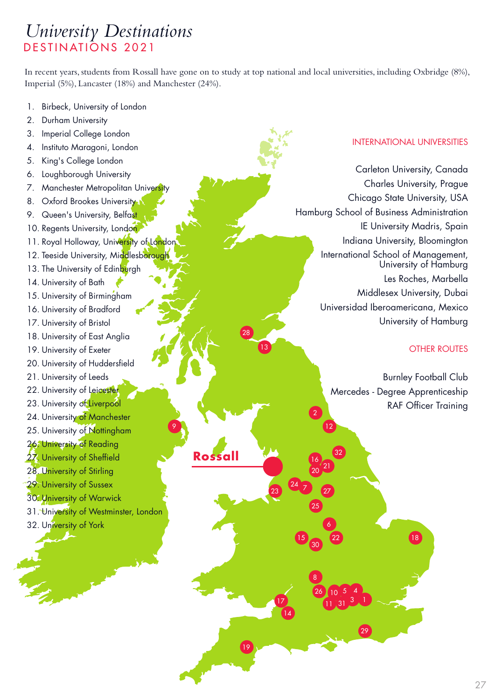### *University Destinations* DESTINATIONS 2021

In recent years, students from Rossall have gone on to study at top national and local universities, including Oxbridge (8%), Imperial (5%), Lancaster (18%) and Manchester (24%).

**Rossall**

- 1. Birbeck, University of London
- 2. Durham University
- 3. Imperial College London
- 4. Instituto Maragoni, London
- 5. King's College London
- 6. Loughborough University
- 7. Manchester Metropolitan University
- 8. Oxford Brookes University
- 9. Queen's University, Belfast
- 10. Regents University, London.
- 11. Royal Holloway, University of London
- 12. Teeside University, Middlesborough
- 13. The University of Edinburgh
- 14. University of Bath
- 15. University of Birmingham
- 16. University of Bradford
- 17. University of Bristol
- 18. University of East Anglia
- 19. University of Exeter
- 20. University of Huddersfield
- 21. University of Leeds
- 22. University of Leicester
- 23. University of Liverpool
- 24. University of Manchester
- 25. University of Nottingham
- 26. University of Reading
- 27. University of Sheffield
- 28. University of Stirling
- 29. University of Sussex
- 30. University of Warwick
- 31. University of Westminster, London
- 32. University of York

### INTERNATIONAL UNIVERSITIES

Carleton University, Canada Charles University, Prague Chicago State University, USA Hamburg School of Business Administration IE University Madris, Spain Indiana University, Bloomington International School of Management, University of Hamburg Les Roches, Marbella Middlesex University, Dubai Universidad Iberoamericana, Mexico University of Hamburg

### OTHER ROUTES

Burnley Football Club Mercedes - Degree Apprenticeship RAF Officer Training

 $\boxed{18}$ 

1

29

31

22 6

32

11

8 26

3  $10^{5}$  4

2

16  $20^{121}$ 

 $\overline{\phantom{a}}$   $\overline{\phantom{a}}$   $\overline{\phantom{a}}$   $\overline{\phantom{a}}$   $\overline{\phantom{a}}$   $\overline{\phantom{a}}$   $\overline{\phantom{a}}$   $\overline{\phantom{a}}$   $\overline{\phantom{a}}$   $\overline{\phantom{a}}$   $\overline{\phantom{a}}$   $\overline{\phantom{a}}$   $\overline{\phantom{a}}$   $\overline{\phantom{a}}$   $\overline{\phantom{a}}$   $\overline{\phantom{a}}$   $\overline{\phantom{a}}$   $\overline{\phantom{a}}$   $\overline{\$ 

25

14 17

15 30

24

23

19

13

28

9 and 12 and 20 and 20 and 20 and 20 and 20 and 20 and 20 and 20 and 20 and 20 and 20 and 20 and 20 and 20 and